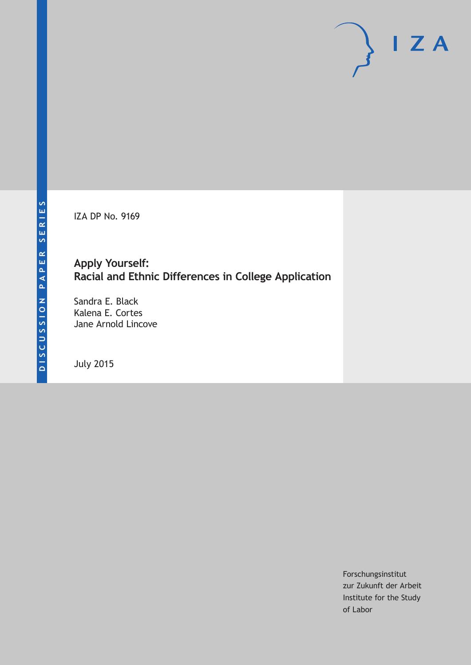IZA DP No. 9169

## **Apply Yourself: Racial and Ethnic Differences in College Application**

Sandra E. Black Kalena E. Cortes Jane Arnold Lincove

July 2015

Forschungsinstitut zur Zukunft der Arbeit Institute for the Study of Labor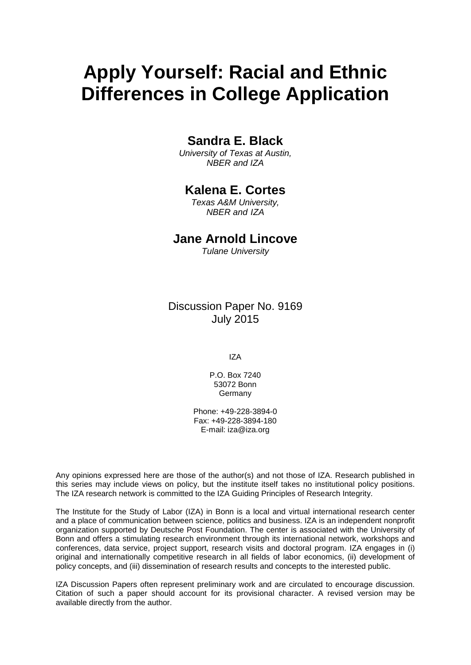# **Apply Yourself: Racial and Ethnic Differences in College Application**

## **Sandra E. Black**

*University of Texas at Austin, NBER and IZA*

## **Kalena E. Cortes**

*Texas A&M University, NBER and IZA*

### **Jane Arnold Lincove**

*Tulane University*

Discussion Paper No. 9169 July 2015

IZA

P.O. Box 7240 53072 Bonn **Germany** 

Phone: +49-228-3894-0 Fax: +49-228-3894-180 E-mail: iza@iza.org

Any opinions expressed here are those of the author(s) and not those of IZA. Research published in this series may include views on policy, but the institute itself takes no institutional policy positions. The IZA research network is committed to the IZA Guiding Principles of Research Integrity.

<span id="page-1-0"></span>The Institute for the Study of Labor (IZA) in Bonn is a local and virtual international research center and a place of communication between science, politics and business. IZA is an independent nonprofit organization supported by Deutsche Post Foundation. The center is associated with the University of Bonn and offers a stimulating research environment through its international network, workshops and conferences, data service, project support, research visits and doctoral program. IZA engages in (i) original and internationally competitive research in all fields of labor economics, (ii) development of policy concepts, and (iii) dissemination of research results and concepts to the interested public.

IZA Discussion Papers often represent preliminary work and are circulated to encourage discussion. Citation of such a paper should account for its provisional character. A revised version may be available directly from the author.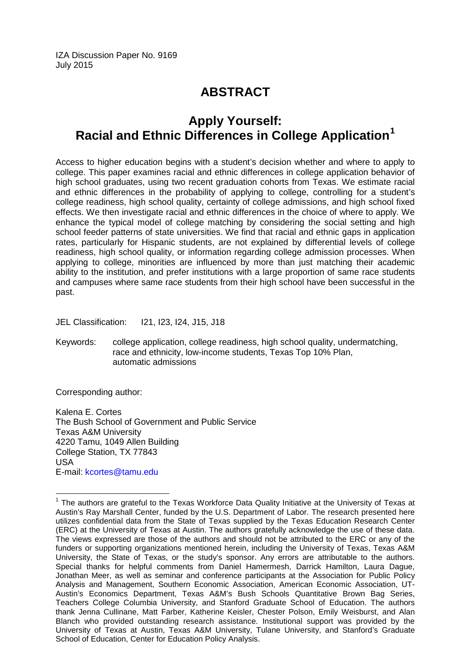IZA Discussion Paper No. 9169 July 2015

## **ABSTRACT**

## **Apply Yourself: Racial and Ethnic Differences in College Application[1](#page-1-0)**

Access to higher education begins with a student's decision whether and where to apply to college. This paper examines racial and ethnic differences in college application behavior of high school graduates, using two recent graduation cohorts from Texas. We estimate racial and ethnic differences in the probability of applying to college, controlling for a student's college readiness, high school quality, certainty of college admissions, and high school fixed effects. We then investigate racial and ethnic differences in the choice of where to apply. We enhance the typical model of college matching by considering the social setting and high school feeder patterns of state universities. We find that racial and ethnic gaps in application rates, particularly for Hispanic students, are not explained by differential levels of college readiness, high school quality, or information regarding college admission processes. When applying to college, minorities are influenced by more than just matching their academic ability to the institution, and prefer institutions with a large proportion of same race students and campuses where same race students from their high school have been successful in the past.

JEL Classification: I21, I23, I24, J15, J18

Keywords: college application, college readiness, high school quality, undermatching, race and ethnicity, low-income students, Texas Top 10% Plan, automatic admissions

Corresponding author:

Kalena E. Cortes The Bush School of Government and Public Service Texas A&M University 4220 Tamu, 1049 Allen Building College Station, TX 77843 USA E-mail: [kcortes@tamu.edu](mailto:kcortes@tamu.edu)

 $1$  The authors are grateful to the Texas Workforce Data Quality Initiative at the University of Texas at Austin's Ray Marshall Center, funded by the U.S. Department of Labor. The research presented here utilizes confidential data from the State of Texas supplied by the Texas Education Research Center (ERC) at the University of Texas at Austin. The authors gratefully acknowledge the use of these data. The views expressed are those of the authors and should not be attributed to the ERC or any of the funders or supporting organizations mentioned herein, including the University of Texas, Texas A&M University, the State of Texas, or the study's sponsor. Any errors are attributable to the authors. Special thanks for helpful comments from Daniel Hamermesh, Darrick Hamilton, Laura Dague, Jonathan Meer, as well as seminar and conference participants at the Association for Public Policy Analysis and Management, Southern Economic Association, American Economic Association, UT-Austin's Economics Department, Texas A&M's Bush Schools Quantitative Brown Bag Series, Teachers College Columbia University, and Stanford Graduate School of Education. The authors thank Jenna Cullinane, Matt Farber, Katherine Keisler, Chester Polson, Emily Weisburst, and Alan Blanch who provided outstanding research assistance. Institutional support was provided by the University of Texas at Austin, Texas A&M University, Tulane University, and Stanford's Graduate School of Education, Center for Education Policy Analysis.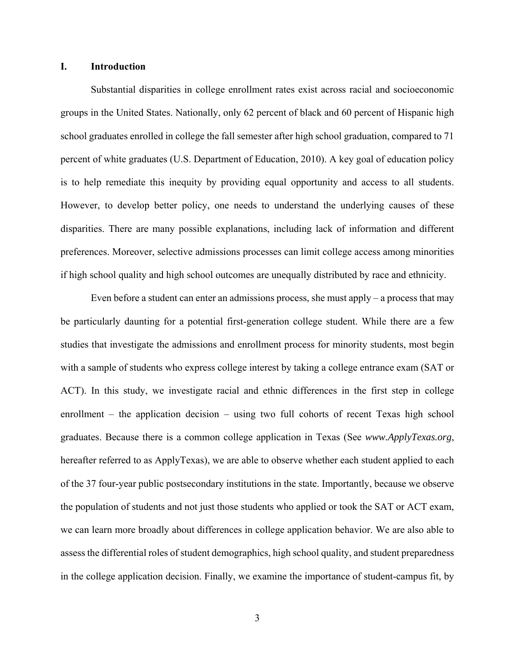#### **I. Introduction**

Substantial disparities in college enrollment rates exist across racial and socioeconomic groups in the United States. Nationally, only 62 percent of black and 60 percent of Hispanic high school graduates enrolled in college the fall semester after high school graduation, compared to 71 percent of white graduates (U.S. Department of Education, 2010). A key goal of education policy is to help remediate this inequity by providing equal opportunity and access to all students. However, to develop better policy, one needs to understand the underlying causes of these disparities. There are many possible explanations, including lack of information and different preferences. Moreover, selective admissions processes can limit college access among minorities if high school quality and high school outcomes are unequally distributed by race and ethnicity.

Even before a student can enter an admissions process, she must apply  $-$  a process that may be particularly daunting for a potential first-generation college student. While there are a few studies that investigate the admissions and enrollment process for minority students, most begin with a sample of students who express college interest by taking a college entrance exam (SAT or ACT). In this study, we investigate racial and ethnic differences in the first step in college enrollment – the application decision – using two full cohorts of recent Texas high school graduates. Because there is a common college application in Texas (See *www.ApplyTexas.org*, hereafter referred to as ApplyTexas), we are able to observe whether each student applied to each of the 37 four-year public postsecondary institutions in the state. Importantly, because we observe the population of students and not just those students who applied or took the SAT or ACT exam, we can learn more broadly about differences in college application behavior. We are also able to assess the differential roles of student demographics, high school quality, and student preparedness in the college application decision. Finally, we examine the importance of student-campus fit, by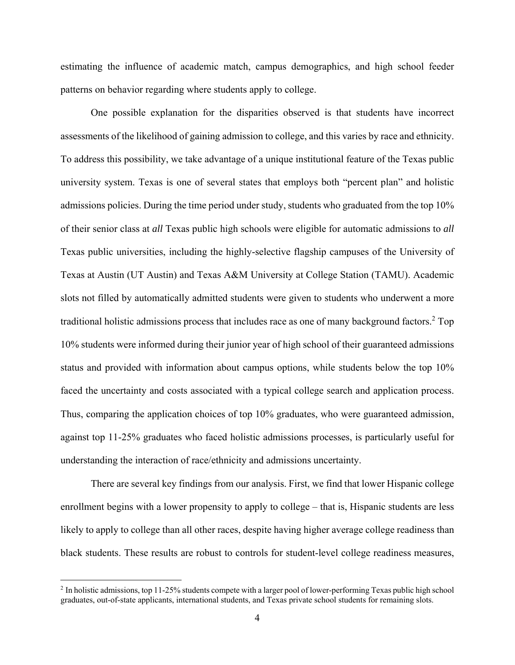estimating the influence of academic match, campus demographics, and high school feeder patterns on behavior regarding where students apply to college.

One possible explanation for the disparities observed is that students have incorrect assessments of the likelihood of gaining admission to college, and this varies by race and ethnicity. To address this possibility, we take advantage of a unique institutional feature of the Texas public university system. Texas is one of several states that employs both "percent plan" and holistic admissions policies. During the time period under study, students who graduated from the top 10% of their senior class at *all* Texas public high schools were eligible for automatic admissions to *all* Texas public universities, including the highly-selective flagship campuses of the University of Texas at Austin (UT Austin) and Texas A&M University at College Station (TAMU). Academic slots not filled by automatically admitted students were given to students who underwent a more traditional holistic admissions process that includes race as one of many background factors.<sup>2</sup> Top 10% students were informed during their junior year of high school of their guaranteed admissions status and provided with information about campus options, while students below the top 10% faced the uncertainty and costs associated with a typical college search and application process. Thus, comparing the application choices of top 10% graduates, who were guaranteed admission, against top 11-25% graduates who faced holistic admissions processes, is particularly useful for understanding the interaction of race/ethnicity and admissions uncertainty.

There are several key findings from our analysis. First, we find that lower Hispanic college enrollment begins with a lower propensity to apply to college – that is, Hispanic students are less likely to apply to college than all other races, despite having higher average college readiness than black students. These results are robust to controls for student-level college readiness measures,

<u>.</u>

<sup>&</sup>lt;sup>2</sup> In holistic admissions, top 11-25% students compete with a larger pool of lower-performing Texas public high school graduates, out-of-state applicants, international students, and Texas private school students for remaining slots.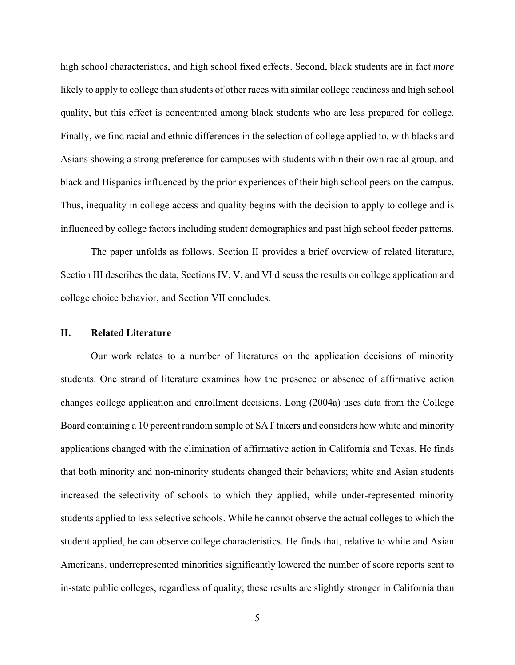high school characteristics, and high school fixed effects. Second, black students are in fact *more* likely to apply to college than students of other races with similar college readiness and high school quality, but this effect is concentrated among black students who are less prepared for college. Finally, we find racial and ethnic differences in the selection of college applied to, with blacks and Asians showing a strong preference for campuses with students within their own racial group, and black and Hispanics influenced by the prior experiences of their high school peers on the campus. Thus, inequality in college access and quality begins with the decision to apply to college and is influenced by college factors including student demographics and past high school feeder patterns.

The paper unfolds as follows. Section II provides a brief overview of related literature, Section III describes the data, Sections IV, V, and VI discuss the results on college application and college choice behavior, and Section VII concludes.

#### **II. Related Literature**

Our work relates to a number of literatures on the application decisions of minority students. One strand of literature examines how the presence or absence of affirmative action changes college application and enrollment decisions. Long (2004a) uses data from the College Board containing a 10 percent random sample of SAT takers and considers how white and minority applications changed with the elimination of affirmative action in California and Texas. He finds that both minority and non-minority students changed their behaviors; white and Asian students increased the selectivity of schools to which they applied, while under-represented minority students applied to less selective schools. While he cannot observe the actual colleges to which the student applied, he can observe college characteristics. He finds that, relative to white and Asian Americans, underrepresented minorities significantly lowered the number of score reports sent to in-state public colleges, regardless of quality; these results are slightly stronger in California than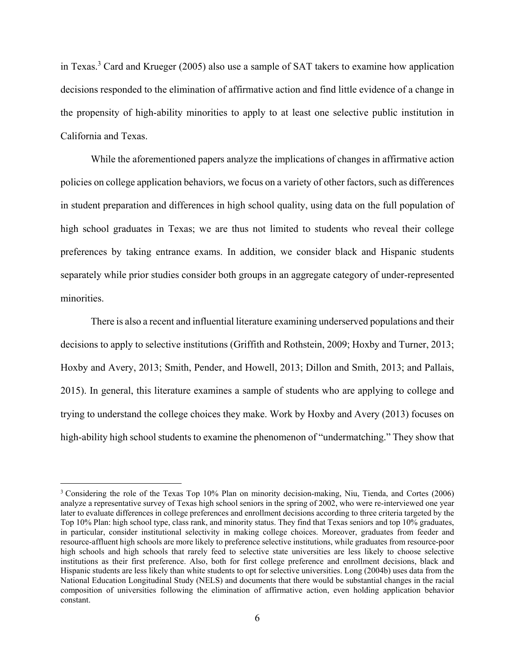in Texas.<sup>3</sup> Card and Krueger (2005) also use a sample of SAT takers to examine how application decisions responded to the elimination of affirmative action and find little evidence of a change in the propensity of high-ability minorities to apply to at least one selective public institution in California and Texas.

While the aforementioned papers analyze the implications of changes in affirmative action policies on college application behaviors, we focus on a variety of other factors, such as differences in student preparation and differences in high school quality, using data on the full population of high school graduates in Texas; we are thus not limited to students who reveal their college preferences by taking entrance exams. In addition, we consider black and Hispanic students separately while prior studies consider both groups in an aggregate category of under-represented minorities.

There is also a recent and influential literature examining underserved populations and their decisions to apply to selective institutions (Griffith and Rothstein, 2009; Hoxby and Turner, 2013; Hoxby and Avery, 2013; Smith, Pender, and Howell, 2013; Dillon and Smith, 2013; and Pallais, 2015). In general, this literature examines a sample of students who are applying to college and trying to understand the college choices they make. Work by Hoxby and Avery (2013) focuses on high-ability high school students to examine the phenomenon of "undermatching." They show that

<sup>&</sup>lt;sup>3</sup> Considering the role of the Texas Top 10% Plan on minority decision-making, Niu, Tienda, and Cortes (2006) analyze a representative survey of Texas high school seniors in the spring of 2002, who were re-interviewed one year later to evaluate differences in college preferences and enrollment decisions according to three criteria targeted by the Top 10% Plan: high school type, class rank, and minority status. They find that Texas seniors and top 10% graduates, in particular, consider institutional selectivity in making college choices. Moreover, graduates from feeder and resource-affluent high schools are more likely to preference selective institutions, while graduates from resource-poor high schools and high schools that rarely feed to selective state universities are less likely to choose selective institutions as their first preference. Also, both for first college preference and enrollment decisions, black and Hispanic students are less likely than white students to opt for selective universities. Long (2004b) uses data from the National Education Longitudinal Study (NELS) and documents that there would be substantial changes in the racial composition of universities following the elimination of affirmative action, even holding application behavior constant.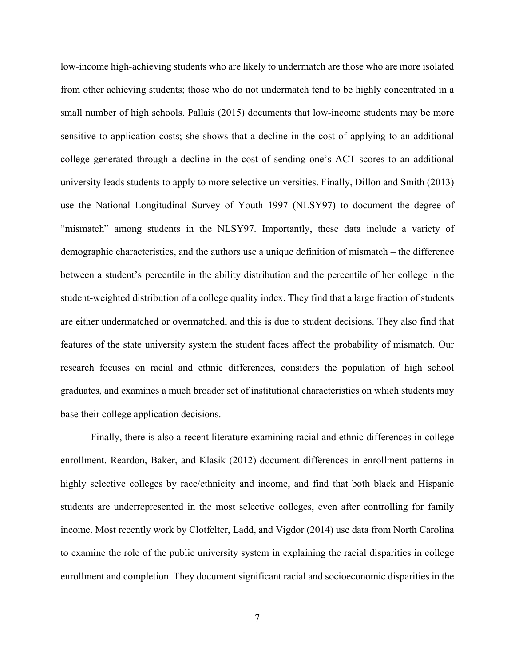low-income high-achieving students who are likely to undermatch are those who are more isolated from other achieving students; those who do not undermatch tend to be highly concentrated in a small number of high schools. Pallais (2015) documents that low-income students may be more sensitive to application costs; she shows that a decline in the cost of applying to an additional college generated through a decline in the cost of sending one's ACT scores to an additional university leads students to apply to more selective universities. Finally, Dillon and Smith (2013) use the National Longitudinal Survey of Youth 1997 (NLSY97) to document the degree of "mismatch" among students in the NLSY97. Importantly, these data include a variety of demographic characteristics, and the authors use a unique definition of mismatch – the difference between a student's percentile in the ability distribution and the percentile of her college in the student-weighted distribution of a college quality index. They find that a large fraction of students are either undermatched or overmatched, and this is due to student decisions. They also find that features of the state university system the student faces affect the probability of mismatch. Our research focuses on racial and ethnic differences, considers the population of high school graduates, and examines a much broader set of institutional characteristics on which students may base their college application decisions.

Finally, there is also a recent literature examining racial and ethnic differences in college enrollment. Reardon, Baker, and Klasik (2012) document differences in enrollment patterns in highly selective colleges by race/ethnicity and income, and find that both black and Hispanic students are underrepresented in the most selective colleges, even after controlling for family income. Most recently work by Clotfelter, Ladd, and Vigdor (2014) use data from North Carolina to examine the role of the public university system in explaining the racial disparities in college enrollment and completion. They document significant racial and socioeconomic disparities in the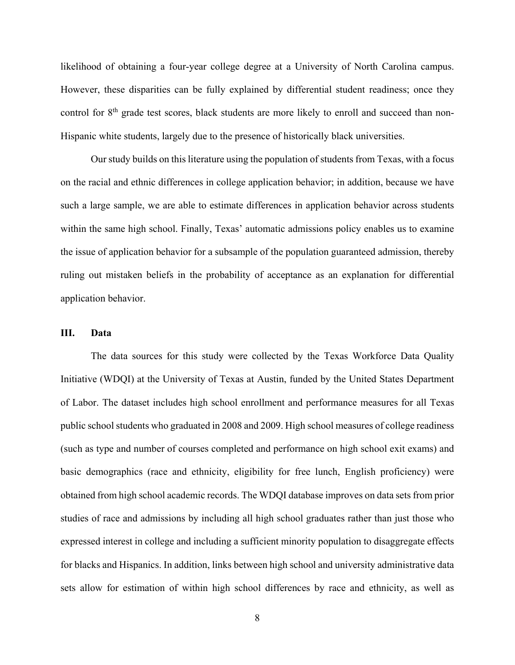likelihood of obtaining a four-year college degree at a University of North Carolina campus. However, these disparities can be fully explained by differential student readiness; once they control for 8<sup>th</sup> grade test scores, black students are more likely to enroll and succeed than non-Hispanic white students, largely due to the presence of historically black universities.

Our study builds on this literature using the population of students from Texas, with a focus on the racial and ethnic differences in college application behavior; in addition, because we have such a large sample, we are able to estimate differences in application behavior across students within the same high school. Finally, Texas' automatic admissions policy enables us to examine the issue of application behavior for a subsample of the population guaranteed admission, thereby ruling out mistaken beliefs in the probability of acceptance as an explanation for differential application behavior.

#### **III. Data**

The data sources for this study were collected by the Texas Workforce Data Quality Initiative (WDQI) at the University of Texas at Austin, funded by the United States Department of Labor. The dataset includes high school enrollment and performance measures for all Texas public school students who graduated in 2008 and 2009. High school measures of college readiness (such as type and number of courses completed and performance on high school exit exams) and basic demographics (race and ethnicity, eligibility for free lunch, English proficiency) were obtained from high school academic records. The WDQI database improves on data sets from prior studies of race and admissions by including all high school graduates rather than just those who expressed interest in college and including a sufficient minority population to disaggregate effects for blacks and Hispanics. In addition, links between high school and university administrative data sets allow for estimation of within high school differences by race and ethnicity, as well as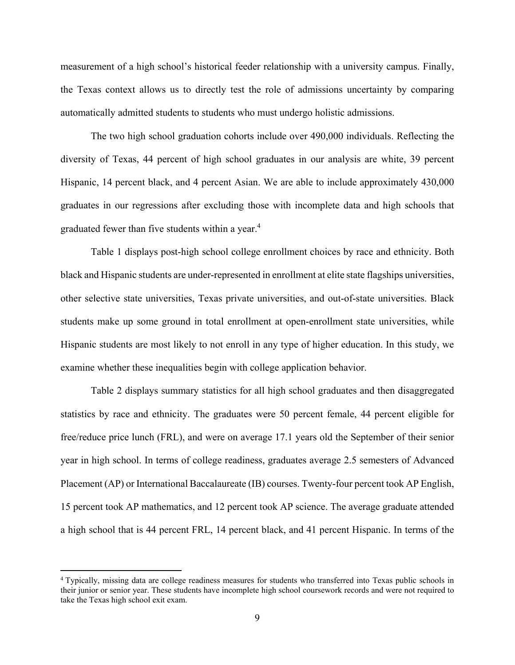measurement of a high school's historical feeder relationship with a university campus. Finally, the Texas context allows us to directly test the role of admissions uncertainty by comparing automatically admitted students to students who must undergo holistic admissions.

The two high school graduation cohorts include over 490,000 individuals. Reflecting the diversity of Texas, 44 percent of high school graduates in our analysis are white, 39 percent Hispanic, 14 percent black, and 4 percent Asian. We are able to include approximately 430,000 graduates in our regressions after excluding those with incomplete data and high schools that graduated fewer than five students within a year.<sup>4</sup>

Table 1 displays post-high school college enrollment choices by race and ethnicity. Both black and Hispanic students are under-represented in enrollment at elite state flagships universities, other selective state universities, Texas private universities, and out-of-state universities. Black students make up some ground in total enrollment at open-enrollment state universities, while Hispanic students are most likely to not enroll in any type of higher education. In this study, we examine whether these inequalities begin with college application behavior.

Table 2 displays summary statistics for all high school graduates and then disaggregated statistics by race and ethnicity. The graduates were 50 percent female, 44 percent eligible for free/reduce price lunch (FRL), and were on average 17.1 years old the September of their senior year in high school. In terms of college readiness, graduates average 2.5 semesters of Advanced Placement (AP) or International Baccalaureate (IB) courses. Twenty-four percent took AP English, 15 percent took AP mathematics, and 12 percent took AP science. The average graduate attended a high school that is 44 percent FRL, 14 percent black, and 41 percent Hispanic. In terms of the

<sup>4</sup> Typically, missing data are college readiness measures for students who transferred into Texas public schools in their junior or senior year. These students have incomplete high school coursework records and were not required to take the Texas high school exit exam.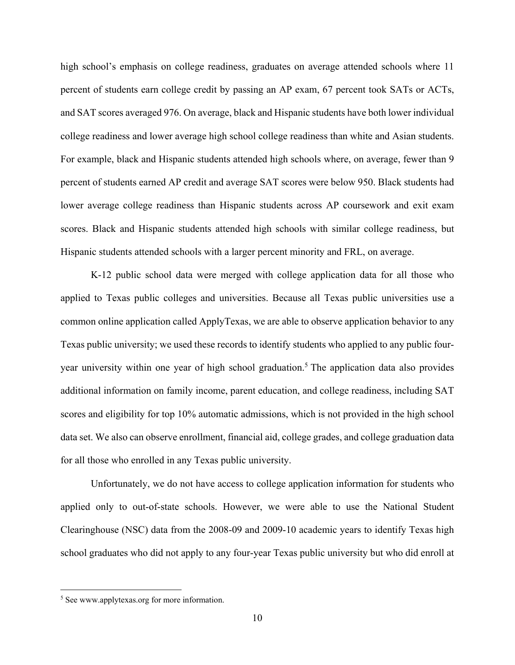high school's emphasis on college readiness, graduates on average attended schools where 11 percent of students earn college credit by passing an AP exam, 67 percent took SATs or ACTs, and SAT scores averaged 976. On average, black and Hispanic students have both lower individual college readiness and lower average high school college readiness than white and Asian students. For example, black and Hispanic students attended high schools where, on average, fewer than 9 percent of students earned AP credit and average SAT scores were below 950. Black students had lower average college readiness than Hispanic students across AP coursework and exit exam scores. Black and Hispanic students attended high schools with similar college readiness, but Hispanic students attended schools with a larger percent minority and FRL, on average.

K-12 public school data were merged with college application data for all those who applied to Texas public colleges and universities. Because all Texas public universities use a common online application called ApplyTexas, we are able to observe application behavior to any Texas public university; we used these records to identify students who applied to any public fouryear university within one year of high school graduation.<sup>5</sup> The application data also provides additional information on family income, parent education, and college readiness, including SAT scores and eligibility for top 10% automatic admissions, which is not provided in the high school data set. We also can observe enrollment, financial aid, college grades, and college graduation data for all those who enrolled in any Texas public university.

Unfortunately, we do not have access to college application information for students who applied only to out-of-state schools. However, we were able to use the National Student Clearinghouse (NSC) data from the 2008-09 and 2009-10 academic years to identify Texas high school graduates who did not apply to any four-year Texas public university but who did enroll at

<sup>5</sup> See www.applytexas.org for more information.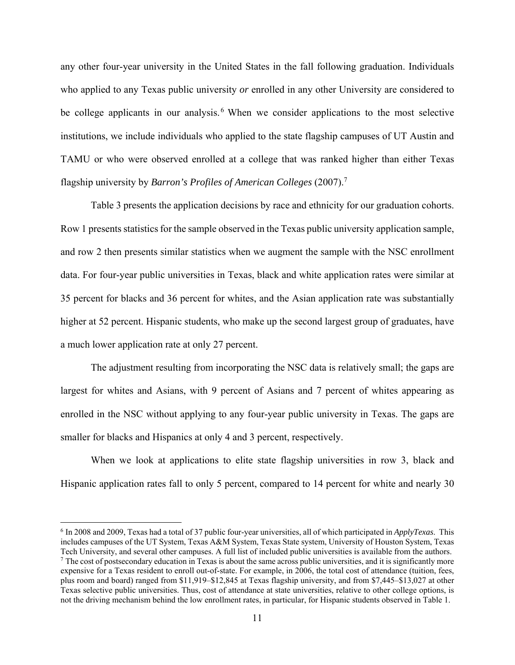any other four-year university in the United States in the fall following graduation. Individuals who applied to any Texas public university *or* enrolled in any other University are considered to be college applicants in our analysis.<sup>6</sup> When we consider applications to the most selective institutions, we include individuals who applied to the state flagship campuses of UT Austin and TAMU or who were observed enrolled at a college that was ranked higher than either Texas flagship university by *Barron's Profiles of American Colleges* (2007).7

Table 3 presents the application decisions by race and ethnicity for our graduation cohorts. Row 1 presents statistics for the sample observed in the Texas public university application sample, and row 2 then presents similar statistics when we augment the sample with the NSC enrollment data. For four-year public universities in Texas, black and white application rates were similar at 35 percent for blacks and 36 percent for whites, and the Asian application rate was substantially higher at 52 percent. Hispanic students, who make up the second largest group of graduates, have a much lower application rate at only 27 percent.

The adjustment resulting from incorporating the NSC data is relatively small; the gaps are largest for whites and Asians, with 9 percent of Asians and 7 percent of whites appearing as enrolled in the NSC without applying to any four-year public university in Texas. The gaps are smaller for blacks and Hispanics at only 4 and 3 percent, respectively.

When we look at applications to elite state flagship universities in row 3, black and Hispanic application rates fall to only 5 percent, compared to 14 percent for white and nearly 30

<sup>6</sup> In 2008 and 2009, Texas had a total of 37 public four-year universities, all of which participated in *ApplyTexas*. This includes campuses of the UT System, Texas A&M System, Texas State system, University of Houston System, Texas Tech University, and several other campuses. A full list of included public universities is available from the authors. 7 The cost of postsecondary education in Texas is about the same across public universities, and it is significantly more expensive for a Texas resident to enroll out-of-state. For example, in 2006, the total cost of attendance (tuition, fees, plus room and board) ranged from \$11,919–\$12,845 at Texas flagship university, and from \$7,445–\$13,027 at other Texas selective public universities. Thus, cost of attendance at state universities, relative to other college options, is not the driving mechanism behind the low enrollment rates, in particular, for Hispanic students observed in Table 1.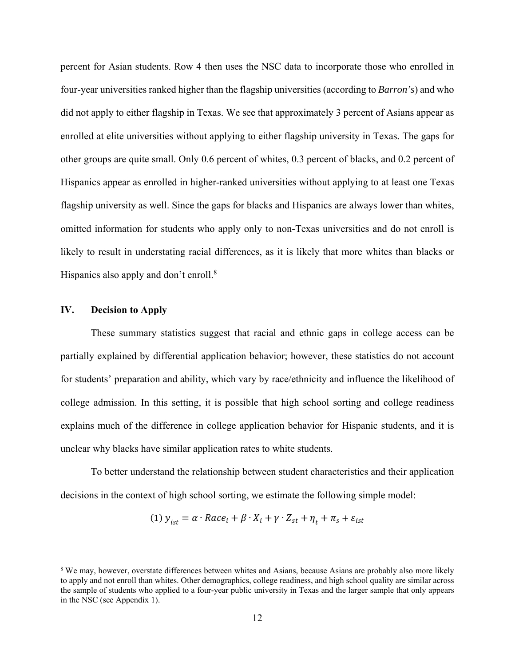percent for Asian students. Row 4 then uses the NSC data to incorporate those who enrolled in four-year universities ranked higher than the flagship universities (according to *Barron's*) and who did not apply to either flagship in Texas. We see that approximately 3 percent of Asians appear as enrolled at elite universities without applying to either flagship university in Texas*.* The gaps for other groups are quite small. Only 0.6 percent of whites, 0.3 percent of blacks, and 0.2 percent of Hispanics appear as enrolled in higher-ranked universities without applying to at least one Texas flagship university as well. Since the gaps for blacks and Hispanics are always lower than whites, omitted information for students who apply only to non-Texas universities and do not enroll is likely to result in understating racial differences, as it is likely that more whites than blacks or Hispanics also apply and don't enroll.<sup>8</sup>

#### **IV. Decision to Apply**

 $\overline{a}$ 

These summary statistics suggest that racial and ethnic gaps in college access can be partially explained by differential application behavior; however, these statistics do not account for students' preparation and ability, which vary by race/ethnicity and influence the likelihood of college admission. In this setting, it is possible that high school sorting and college readiness explains much of the difference in college application behavior for Hispanic students, and it is unclear why blacks have similar application rates to white students.

To better understand the relationship between student characteristics and their application decisions in the context of high school sorting, we estimate the following simple model:

(1) 
$$
y_{ist} = \alpha \cdot Race_i + \beta \cdot X_i + \gamma \cdot Z_{st} + \eta_t + \pi_s + \varepsilon_{ist}
$$

<sup>&</sup>lt;sup>8</sup> We may, however, overstate differences between whites and Asians, because Asians are probably also more likely to apply and not enroll than whites. Other demographics, college readiness, and high school quality are similar across the sample of students who applied to a four-year public university in Texas and the larger sample that only appears in the NSC (see Appendix 1).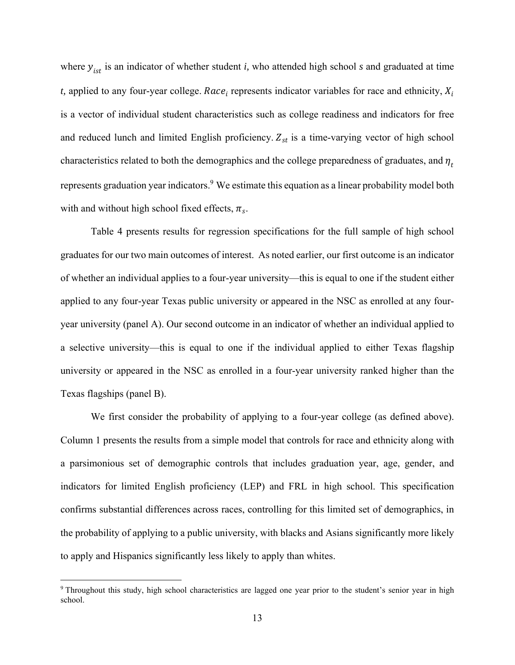where  $y_{ist}$  is an indicator of whether student *i*, who attended high school *s* and graduated at time *t*, applied to any four-year college. Race<sub>i</sub> represents indicator variables for race and ethnicity,  $X_i$ is a vector of individual student characteristics such as college readiness and indicators for free and reduced lunch and limited English proficiency.  $Z_{st}$  is a time-varying vector of high school characteristics related to both the demographics and the college preparedness of graduates, and  $\eta_t$ represents graduation year indicators.<sup>9</sup> We estimate this equation as a linear probability model both with and without high school fixed effects,  $\pi_s$ .

Table 4 presents results for regression specifications for the full sample of high school graduates for our two main outcomes of interest. As noted earlier, our first outcome is an indicator of whether an individual applies to a four-year university—this is equal to one if the student either applied to any four-year Texas public university or appeared in the NSC as enrolled at any fouryear university (panel A). Our second outcome in an indicator of whether an individual applied to a selective university—this is equal to one if the individual applied to either Texas flagship university or appeared in the NSC as enrolled in a four-year university ranked higher than the Texas flagships (panel B).

We first consider the probability of applying to a four-year college (as defined above). Column 1 presents the results from a simple model that controls for race and ethnicity along with a parsimonious set of demographic controls that includes graduation year, age, gender, and indicators for limited English proficiency (LEP) and FRL in high school. This specification confirms substantial differences across races, controlling for this limited set of demographics, in the probability of applying to a public university, with blacks and Asians significantly more likely to apply and Hispanics significantly less likely to apply than whites.

<sup>9</sup> Throughout this study, high school characteristics are lagged one year prior to the student's senior year in high school.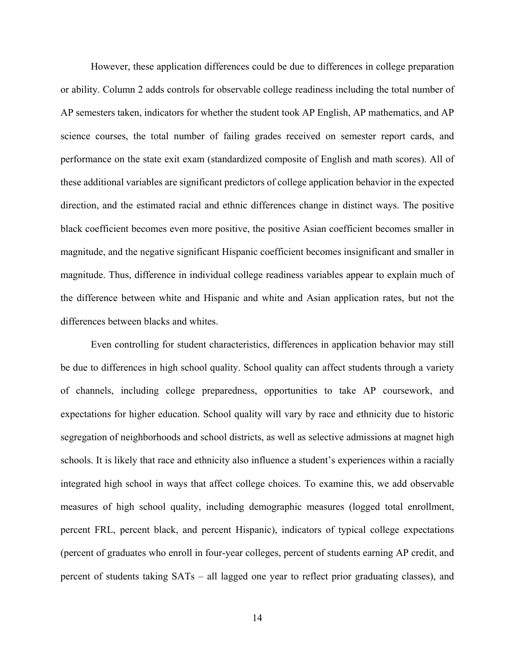However, these application differences could be due to differences in college preparation or ability. Column 2 adds controls for observable college readiness including the total number of AP semesters taken, indicators for whether the student took AP English, AP mathematics, and AP science courses, the total number of failing grades received on semester report cards, and performance on the state exit exam (standardized composite of English and math scores). All of these additional variables are significant predictors of college application behavior in the expected direction, and the estimated racial and ethnic differences change in distinct ways. The positive black coefficient becomes even more positive, the positive Asian coefficient becomes smaller in magnitude, and the negative significant Hispanic coefficient becomes insignificant and smaller in magnitude. Thus, difference in individual college readiness variables appear to explain much of the difference between white and Hispanic and white and Asian application rates, but not the differences between blacks and whites.

Even controlling for student characteristics, differences in application behavior may still be due to differences in high school quality. School quality can affect students through a variety of channels, including college preparedness, opportunities to take AP coursework, and expectations for higher education. School quality will vary by race and ethnicity due to historic segregation of neighborhoods and school districts, as well as selective admissions at magnet high schools. It is likely that race and ethnicity also influence a student's experiences within a racially integrated high school in ways that affect college choices. To examine this, we add observable measures of high school quality, including demographic measures (logged total enrollment, percent FRL, percent black, and percent Hispanic), indicators of typical college expectations (percent of graduates who enroll in four-year colleges, percent of students earning AP credit, and percent of students taking SATs – all lagged one year to reflect prior graduating classes), and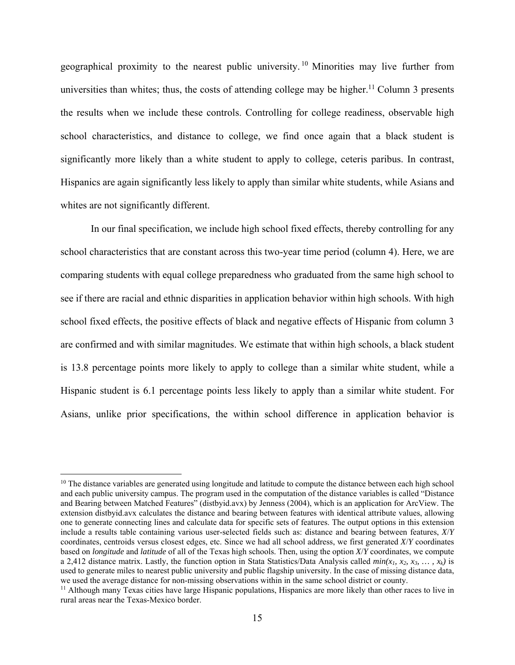geographical proximity to the nearest public university. 10 Minorities may live further from universities than whites; thus, the costs of attending college may be higher.<sup>11</sup> Column 3 presents the results when we include these controls. Controlling for college readiness, observable high school characteristics, and distance to college, we find once again that a black student is significantly more likely than a white student to apply to college, ceteris paribus. In contrast, Hispanics are again significantly less likely to apply than similar white students, while Asians and whites are not significantly different.

In our final specification, we include high school fixed effects, thereby controlling for any school characteristics that are constant across this two-year time period (column 4). Here, we are comparing students with equal college preparedness who graduated from the same high school to see if there are racial and ethnic disparities in application behavior within high schools. With high school fixed effects, the positive effects of black and negative effects of Hispanic from column 3 are confirmed and with similar magnitudes. We estimate that within high schools, a black student is 13.8 percentage points more likely to apply to college than a similar white student, while a Hispanic student is 6.1 percentage points less likely to apply than a similar white student. For Asians, unlike prior specifications, the within school difference in application behavior is

 $10$  The distance variables are generated using longitude and latitude to compute the distance between each high school and each public university campus. The program used in the computation of the distance variables is called "Distance and Bearing between Matched Features" (distbyid.avx) by Jenness (2004), which is an application for ArcView. The extension distbyid.avx calculates the distance and bearing between features with identical attribute values, allowing one to generate connecting lines and calculate data for specific sets of features. The output options in this extension include a results table containing various user-selected fields such as: distance and bearing between features, *X*/*Y*  coordinates, centroids versus closest edges, etc. Since we had all school address, we first generated *X*/*Y* coordinates based on *longitude* and *latitude* of all of the Texas high schools. Then, using the option *X*/*Y* coordinates, we compute a 2.412 distance matrix. Lastly, the function option in Stata Statistics/Data Analysis called  $min(x_1, x_2, x_3, ..., x_k)$  is used to generate miles to nearest public university and public flagship university. In the case of missing distance data, we used the average distance for non-missing observations within in the same school district or coun

 $11$  Although many Texas cities have large Hispanic populations, Hispanics are more likely than other races to live in rural areas near the Texas-Mexico border.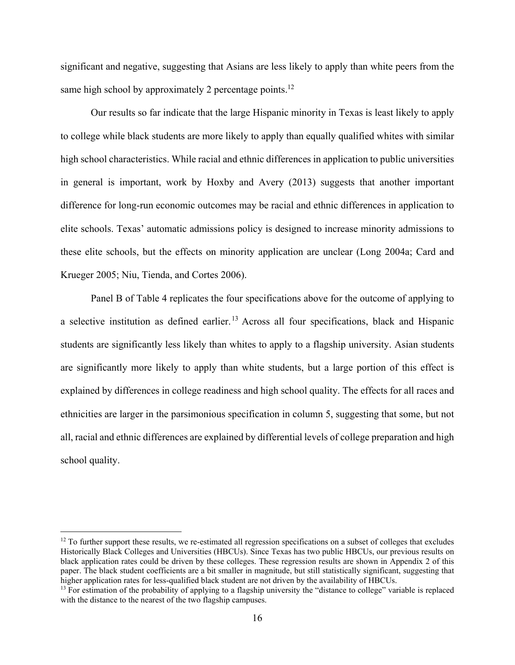significant and negative, suggesting that Asians are less likely to apply than white peers from the same high school by approximately 2 percentage points.<sup>12</sup>

Our results so far indicate that the large Hispanic minority in Texas is least likely to apply to college while black students are more likely to apply than equally qualified whites with similar high school characteristics. While racial and ethnic differences in application to public universities in general is important, work by Hoxby and Avery (2013) suggests that another important difference for long-run economic outcomes may be racial and ethnic differences in application to elite schools. Texas' automatic admissions policy is designed to increase minority admissions to these elite schools, but the effects on minority application are unclear (Long 2004a; Card and Krueger 2005; Niu, Tienda, and Cortes 2006).

Panel B of Table 4 replicates the four specifications above for the outcome of applying to a selective institution as defined earlier.<sup>13</sup> Across all four specifications, black and Hispanic students are significantly less likely than whites to apply to a flagship university. Asian students are significantly more likely to apply than white students, but a large portion of this effect is explained by differences in college readiness and high school quality. The effects for all races and ethnicities are larger in the parsimonious specification in column 5, suggesting that some, but not all, racial and ethnic differences are explained by differential levels of college preparation and high school quality.

-

 $12$  To further support these results, we re-estimated all regression specifications on a subset of colleges that excludes Historically Black Colleges and Universities (HBCUs). Since Texas has two public HBCUs, our previous results on black application rates could be driven by these colleges. These regression results are shown in Appendix 2 of this paper. The black student coefficients are a bit smaller in magnitude, but still statistically significant, suggesting that higher application rates for less-qualified black student are not driven by the availability of HBCUs.

<sup>&</sup>lt;sup>13</sup> For estimation of the probability of applying to a flagship university the "distance to college" variable is replaced with the distance to the nearest of the two flagship campuses.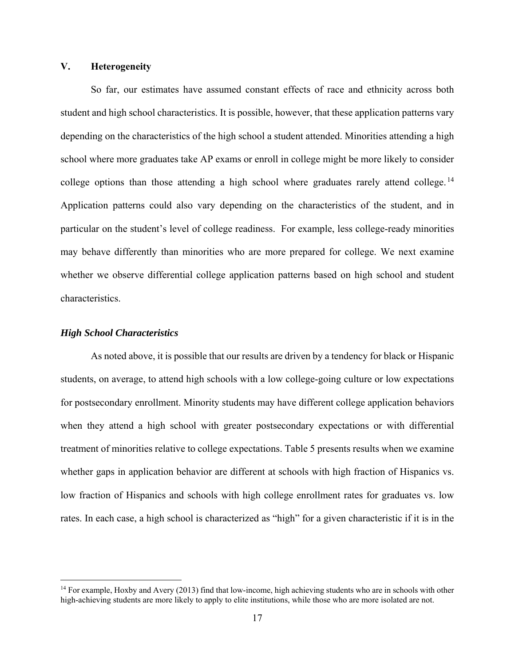#### **V. Heterogeneity**

 So far, our estimates have assumed constant effects of race and ethnicity across both student and high school characteristics. It is possible, however, that these application patterns vary depending on the characteristics of the high school a student attended. Minorities attending a high school where more graduates take AP exams or enroll in college might be more likely to consider college options than those attending a high school where graduates rarely attend college.<sup>14</sup> Application patterns could also vary depending on the characteristics of the student, and in particular on the student's level of college readiness. For example, less college-ready minorities may behave differently than minorities who are more prepared for college. We next examine whether we observe differential college application patterns based on high school and student characteristics.

#### *High School Characteristics*

<u>.</u>

As noted above, it is possible that our results are driven by a tendency for black or Hispanic students, on average, to attend high schools with a low college-going culture or low expectations for postsecondary enrollment. Minority students may have different college application behaviors when they attend a high school with greater postsecondary expectations or with differential treatment of minorities relative to college expectations. Table 5 presents results when we examine whether gaps in application behavior are different at schools with high fraction of Hispanics vs. low fraction of Hispanics and schools with high college enrollment rates for graduates vs. low rates. In each case, a high school is characterized as "high" for a given characteristic if it is in the

<sup>&</sup>lt;sup>14</sup> For example, Hoxby and Avery (2013) find that low-income, high achieving students who are in schools with other high-achieving students are more likely to apply to elite institutions, while those who are more isolated are not.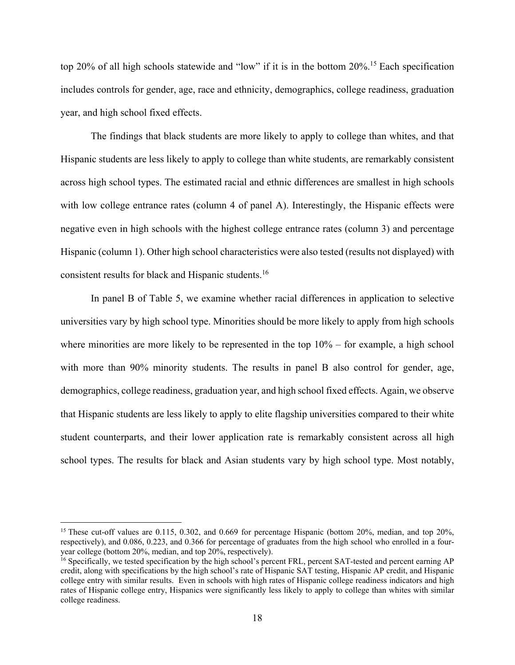top 20% of all high schools statewide and "low" if it is in the bottom 20%.15 Each specification includes controls for gender, age, race and ethnicity, demographics, college readiness, graduation year, and high school fixed effects.

The findings that black students are more likely to apply to college than whites, and that Hispanic students are less likely to apply to college than white students, are remarkably consistent across high school types. The estimated racial and ethnic differences are smallest in high schools with low college entrance rates (column 4 of panel A). Interestingly, the Hispanic effects were negative even in high schools with the highest college entrance rates (column 3) and percentage Hispanic (column 1). Other high school characteristics were also tested (results not displayed) with consistent results for black and Hispanic students.16

 In panel B of Table 5, we examine whether racial differences in application to selective universities vary by high school type. Minorities should be more likely to apply from high schools where minorities are more likely to be represented in the top  $10\%$  – for example, a high school with more than 90% minority students. The results in panel B also control for gender, age, demographics, college readiness, graduation year, and high school fixed effects. Again, we observe that Hispanic students are less likely to apply to elite flagship universities compared to their white student counterparts, and their lower application rate is remarkably consistent across all high school types. The results for black and Asian students vary by high school type. Most notably,

<u>.</u>

<sup>&</sup>lt;sup>15</sup> These cut-off values are 0.115, 0.302, and 0.669 for percentage Hispanic (bottom 20%, median, and top 20%, respectively), and 0.086, 0.223, and 0.366 for percentage of graduates from the high school who enrolled in a fouryear college (bottom 20%, median, and top 20%, respectively).

<sup>16</sup> Specifically, we tested specification by the high school's percent FRL, percent SAT-tested and percent earning AP credit, along with specifications by the high school's rate of Hispanic SAT testing, Hispanic AP credit, and Hispanic college entry with similar results. Even in schools with high rates of Hispanic college readiness indicators and high rates of Hispanic college entry, Hispanics were significantly less likely to apply to college than whites with similar college readiness.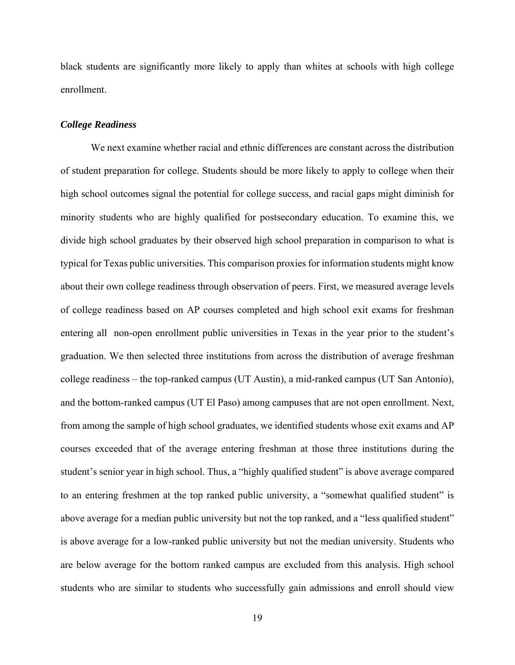black students are significantly more likely to apply than whites at schools with high college enrollment.

#### *College Readiness*

We next examine whether racial and ethnic differences are constant across the distribution of student preparation for college. Students should be more likely to apply to college when their high school outcomes signal the potential for college success, and racial gaps might diminish for minority students who are highly qualified for postsecondary education. To examine this, we divide high school graduates by their observed high school preparation in comparison to what is typical for Texas public universities. This comparison proxies for information students might know about their own college readiness through observation of peers. First, we measured average levels of college readiness based on AP courses completed and high school exit exams for freshman entering all non-open enrollment public universities in Texas in the year prior to the student's graduation. We then selected three institutions from across the distribution of average freshman college readiness – the top-ranked campus (UT Austin), a mid-ranked campus (UT San Antonio), and the bottom-ranked campus (UT El Paso) among campuses that are not open enrollment. Next, from among the sample of high school graduates, we identified students whose exit exams and AP courses exceeded that of the average entering freshman at those three institutions during the student's senior year in high school. Thus, a "highly qualified student" is above average compared to an entering freshmen at the top ranked public university, a "somewhat qualified student" is above average for a median public university but not the top ranked, and a "less qualified student" is above average for a low-ranked public university but not the median university. Students who are below average for the bottom ranked campus are excluded from this analysis. High school students who are similar to students who successfully gain admissions and enroll should view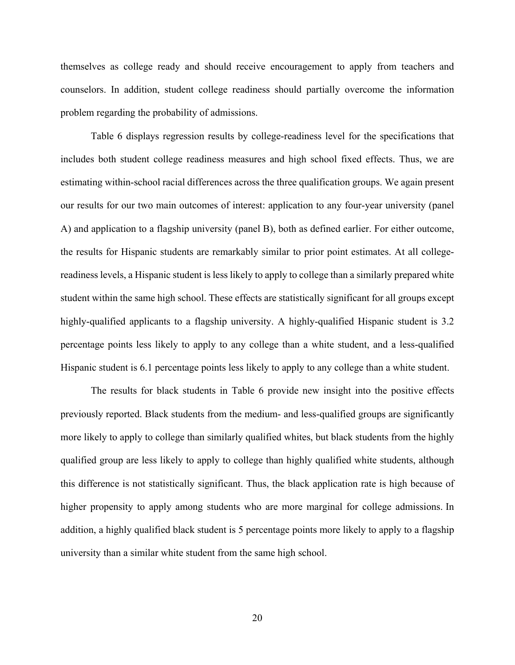themselves as college ready and should receive encouragement to apply from teachers and counselors. In addition, student college readiness should partially overcome the information problem regarding the probability of admissions.

Table 6 displays regression results by college-readiness level for the specifications that includes both student college readiness measures and high school fixed effects. Thus, we are estimating within-school racial differences across the three qualification groups. We again present our results for our two main outcomes of interest: application to any four-year university (panel A) and application to a flagship university (panel B), both as defined earlier. For either outcome, the results for Hispanic students are remarkably similar to prior point estimates. At all collegereadiness levels, a Hispanic student is less likely to apply to college than a similarly prepared white student within the same high school. These effects are statistically significant for all groups except highly-qualified applicants to a flagship university. A highly-qualified Hispanic student is 3.2 percentage points less likely to apply to any college than a white student, and a less-qualified Hispanic student is 6.1 percentage points less likely to apply to any college than a white student.

The results for black students in Table 6 provide new insight into the positive effects previously reported. Black students from the medium- and less-qualified groups are significantly more likely to apply to college than similarly qualified whites, but black students from the highly qualified group are less likely to apply to college than highly qualified white students, although this difference is not statistically significant. Thus, the black application rate is high because of higher propensity to apply among students who are more marginal for college admissions. In addition, a highly qualified black student is 5 percentage points more likely to apply to a flagship university than a similar white student from the same high school.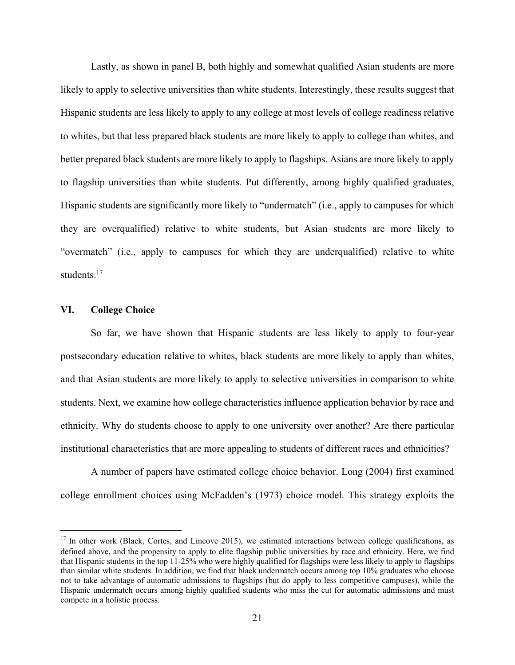Lastly, as shown in panel B, both highly and somewhat qualified Asian students are more likely to apply to selective universities than white students. Interestingly, these results suggest that Hispanic students are less likely to apply to any college at most levels of college readiness relative to whites, but that less prepared black students are more likely to apply to college than whites, and better prepared black students are more likely to apply to flagships. Asians are more likely to apply to flagship universities than white students. Put differently, among highly qualified graduates, Hispanic students are significantly more likely to "undermatch" (i.e., apply to campuses for which they are overqualified) relative to white students, but Asian students are more likely to "overmatch" (i.e., apply to campuses for which they are underqualified) relative to white students $17$ 

#### **VI. College Choice**

 $\overline{a}$ 

 So far, we have shown that Hispanic students are less likely to apply to four-year postsecondary education relative to whites, black students are more likely to apply than whites, and that Asian students are more likely to apply to selective universities in comparison to white students. Next, we examine how college characteristics influence application behavior by race and ethnicity. Why do students choose to apply to one university over another? Are there particular institutional characteristics that are more appealing to students of different races and ethnicities?

 A number of papers have estimated college choice behavior. Long (2004) first examined college enrollment choices using McFadden's (1973) choice model. This strategy exploits the

 $17$  In other work (Black, Cortes, and Lincove 2015), we estimated interactions between college qualifications, as defined above, and the propensity to apply to elite flagship public universities by race and ethnicity. Here, we find that Hispanic students in the top 11-25% who were highly qualified for flagships were less likely to apply to flagships than similar white students. In addition, we find that black undermatch occurs among top 10% graduates who choose not to take advantage of automatic admissions to flagships (but do apply to less competitive campuses), while the Hispanic undermatch occurs among highly qualified students who miss the cut for automatic admissions and must compete in a holistic process.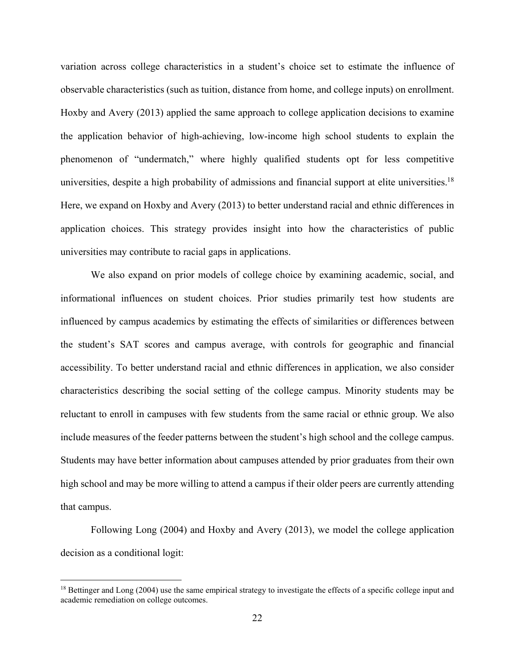variation across college characteristics in a student's choice set to estimate the influence of observable characteristics (such as tuition, distance from home, and college inputs) on enrollment. Hoxby and Avery (2013) applied the same approach to college application decisions to examine the application behavior of high-achieving, low-income high school students to explain the phenomenon of "undermatch," where highly qualified students opt for less competitive universities, despite a high probability of admissions and financial support at elite universities.<sup>18</sup> Here, we expand on Hoxby and Avery (2013) to better understand racial and ethnic differences in application choices. This strategy provides insight into how the characteristics of public universities may contribute to racial gaps in applications.

We also expand on prior models of college choice by examining academic, social, and informational influences on student choices. Prior studies primarily test how students are influenced by campus academics by estimating the effects of similarities or differences between the student's SAT scores and campus average, with controls for geographic and financial accessibility. To better understand racial and ethnic differences in application, we also consider characteristics describing the social setting of the college campus. Minority students may be reluctant to enroll in campuses with few students from the same racial or ethnic group. We also include measures of the feeder patterns between the student's high school and the college campus. Students may have better information about campuses attended by prior graduates from their own high school and may be more willing to attend a campus if their older peers are currently attending that campus.

Following Long (2004) and Hoxby and Avery (2013), we model the college application decision as a conditional logit:

<u>.</u>

<sup>&</sup>lt;sup>18</sup> Bettinger and Long (2004) use the same empirical strategy to investigate the effects of a specific college input and academic remediation on college outcomes.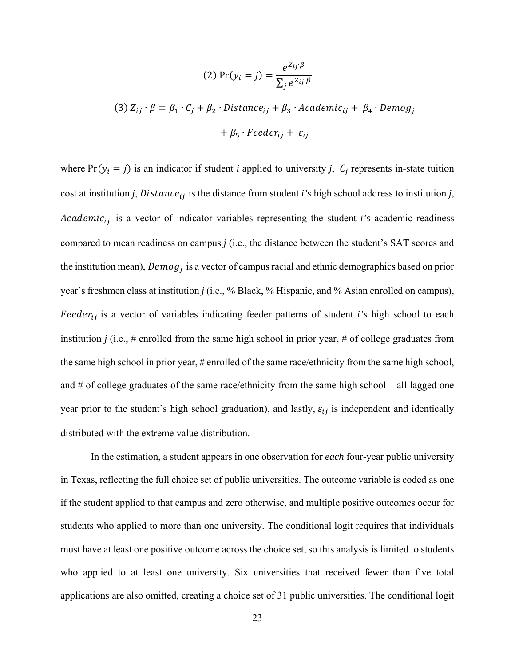(2) 
$$
\Pr(y_i = j) = \frac{e^{Z_{ij} \cdot \beta}}{\sum_j e^{Z_{ij} \cdot \beta}}
$$

(3) 
$$
Z_{ij} \cdot \beta = \beta_1 \cdot C_j + \beta_2 \cdot Distance_{ij} + \beta_3 \cdot Academic_{ij} + \beta_4 \cdot Demog_j
$$
  
+  $\beta_5 \cdot Feeder_{ij} + \varepsilon_{ij}$ 

where  $Pr(y_i = j)$  is an indicator if student *i* applied to university *j*,  $C_j$  represents in-state tuition cost at institution *j*, Distance $_{ij}$  is the distance from student *i's* high school address to institution *j*, Academic<sub>ij</sub> is a vector of indicator variables representing the student *i's* academic readiness compared to mean readiness on campus *j* (i.e., the distance between the student's SAT scores and the institution mean), Demog<sub>i</sub> is a vector of campus racial and ethnic demographics based on prior year's freshmen class at institution *j* (i.e., % Black, % Hispanic, and % Asian enrolled on campus), Feeder<sub>ij</sub> is a vector of variables indicating feeder patterns of student *i's* high school to each institution *j* (i.e.,  $\#$  enrolled from the same high school in prior year,  $\#$  of college graduates from the same high school in prior year, # enrolled of the same race/ethnicity from the same high school, and # of college graduates of the same race/ethnicity from the same high school – all lagged one year prior to the student's high school graduation), and lastly,  $\varepsilon_{ij}$  is independent and identically distributed with the extreme value distribution.

In the estimation, a student appears in one observation for *each* four-year public university in Texas, reflecting the full choice set of public universities. The outcome variable is coded as one if the student applied to that campus and zero otherwise, and multiple positive outcomes occur for students who applied to more than one university. The conditional logit requires that individuals must have at least one positive outcome across the choice set, so this analysis is limited to students who applied to at least one university. Six universities that received fewer than five total applications are also omitted, creating a choice set of 31 public universities. The conditional logit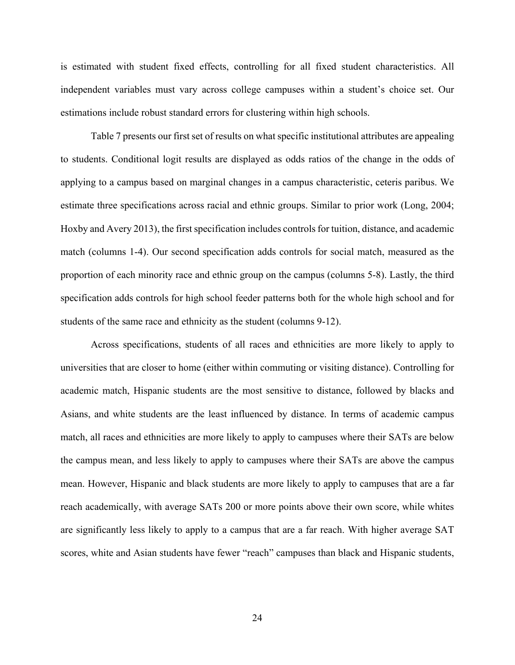is estimated with student fixed effects, controlling for all fixed student characteristics. All independent variables must vary across college campuses within a student's choice set. Our estimations include robust standard errors for clustering within high schools.

 Table 7 presents our first set of results on what specific institutional attributes are appealing to students. Conditional logit results are displayed as odds ratios of the change in the odds of applying to a campus based on marginal changes in a campus characteristic, ceteris paribus. We estimate three specifications across racial and ethnic groups. Similar to prior work (Long, 2004; Hoxby and Avery 2013), the first specification includes controls for tuition, distance, and academic match (columns 1-4). Our second specification adds controls for social match, measured as the proportion of each minority race and ethnic group on the campus (columns 5-8). Lastly, the third specification adds controls for high school feeder patterns both for the whole high school and for students of the same race and ethnicity as the student (columns 9-12).

 Across specifications, students of all races and ethnicities are more likely to apply to universities that are closer to home (either within commuting or visiting distance). Controlling for academic match, Hispanic students are the most sensitive to distance, followed by blacks and Asians, and white students are the least influenced by distance. In terms of academic campus match, all races and ethnicities are more likely to apply to campuses where their SATs are below the campus mean, and less likely to apply to campuses where their SATs are above the campus mean. However, Hispanic and black students are more likely to apply to campuses that are a far reach academically, with average SATs 200 or more points above their own score, while whites are significantly less likely to apply to a campus that are a far reach. With higher average SAT scores, white and Asian students have fewer "reach" campuses than black and Hispanic students,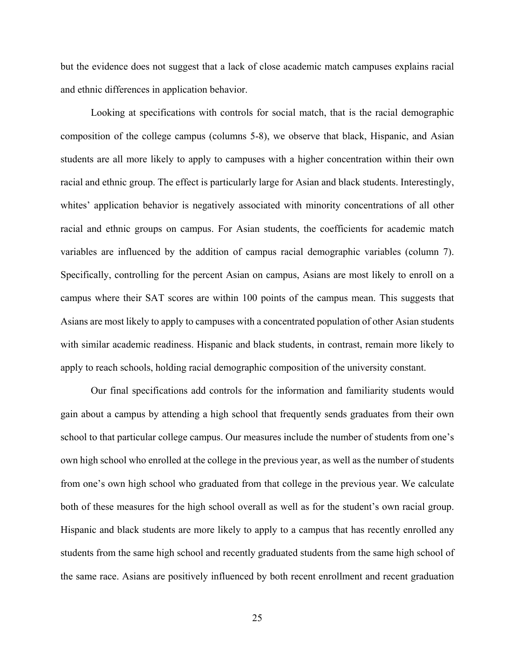but the evidence does not suggest that a lack of close academic match campuses explains racial and ethnic differences in application behavior.

 Looking at specifications with controls for social match, that is the racial demographic composition of the college campus (columns 5-8), we observe that black, Hispanic, and Asian students are all more likely to apply to campuses with a higher concentration within their own racial and ethnic group. The effect is particularly large for Asian and black students. Interestingly, whites' application behavior is negatively associated with minority concentrations of all other racial and ethnic groups on campus. For Asian students, the coefficients for academic match variables are influenced by the addition of campus racial demographic variables (column 7). Specifically, controlling for the percent Asian on campus, Asians are most likely to enroll on a campus where their SAT scores are within 100 points of the campus mean. This suggests that Asians are most likely to apply to campuses with a concentrated population of other Asian students with similar academic readiness. Hispanic and black students, in contrast, remain more likely to apply to reach schools, holding racial demographic composition of the university constant.

 Our final specifications add controls for the information and familiarity students would gain about a campus by attending a high school that frequently sends graduates from their own school to that particular college campus. Our measures include the number of students from one's own high school who enrolled at the college in the previous year, as well as the number of students from one's own high school who graduated from that college in the previous year. We calculate both of these measures for the high school overall as well as for the student's own racial group. Hispanic and black students are more likely to apply to a campus that has recently enrolled any students from the same high school and recently graduated students from the same high school of the same race. Asians are positively influenced by both recent enrollment and recent graduation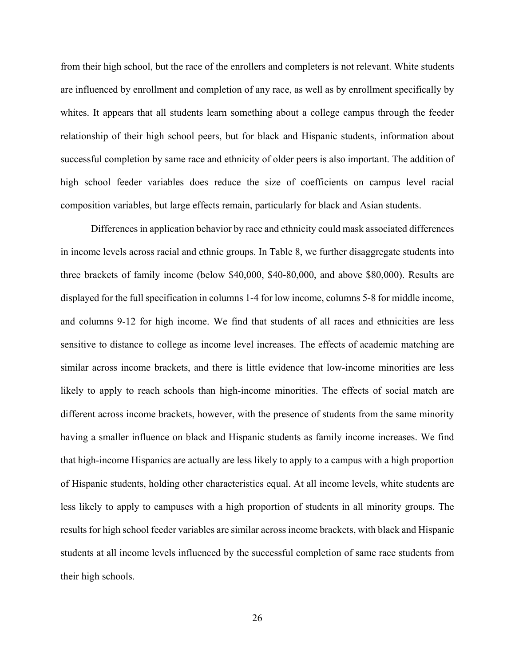from their high school, but the race of the enrollers and completers is not relevant. White students are influenced by enrollment and completion of any race, as well as by enrollment specifically by whites. It appears that all students learn something about a college campus through the feeder relationship of their high school peers, but for black and Hispanic students, information about successful completion by same race and ethnicity of older peers is also important. The addition of high school feeder variables does reduce the size of coefficients on campus level racial composition variables, but large effects remain, particularly for black and Asian students.

 Differences in application behavior by race and ethnicity could mask associated differences in income levels across racial and ethnic groups. In Table 8, we further disaggregate students into three brackets of family income (below \$40,000, \$40-80,000, and above \$80,000). Results are displayed for the full specification in columns 1-4 for low income, columns 5-8 for middle income, and columns 9-12 for high income. We find that students of all races and ethnicities are less sensitive to distance to college as income level increases. The effects of academic matching are similar across income brackets, and there is little evidence that low-income minorities are less likely to apply to reach schools than high-income minorities. The effects of social match are different across income brackets, however, with the presence of students from the same minority having a smaller influence on black and Hispanic students as family income increases. We find that high-income Hispanics are actually are less likely to apply to a campus with a high proportion of Hispanic students, holding other characteristics equal. At all income levels, white students are less likely to apply to campuses with a high proportion of students in all minority groups. The results for high school feeder variables are similar across income brackets, with black and Hispanic students at all income levels influenced by the successful completion of same race students from their high schools.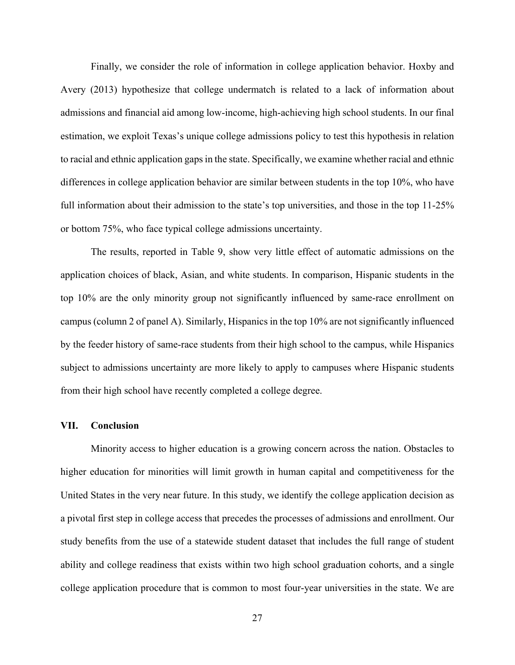Finally, we consider the role of information in college application behavior. Hoxby and Avery (2013) hypothesize that college undermatch is related to a lack of information about admissions and financial aid among low-income, high-achieving high school students. In our final estimation, we exploit Texas's unique college admissions policy to test this hypothesis in relation to racial and ethnic application gaps in the state. Specifically, we examine whether racial and ethnic differences in college application behavior are similar between students in the top 10%, who have full information about their admission to the state's top universities, and those in the top 11-25% or bottom 75%, who face typical college admissions uncertainty.

The results, reported in Table 9, show very little effect of automatic admissions on the application choices of black, Asian, and white students. In comparison, Hispanic students in the top 10% are the only minority group not significantly influenced by same-race enrollment on campus (column 2 of panel A). Similarly, Hispanics in the top 10% are not significantly influenced by the feeder history of same-race students from their high school to the campus, while Hispanics subject to admissions uncertainty are more likely to apply to campuses where Hispanic students from their high school have recently completed a college degree.

#### **VII. Conclusion**

Minority access to higher education is a growing concern across the nation. Obstacles to higher education for minorities will limit growth in human capital and competitiveness for the United States in the very near future. In this study, we identify the college application decision as a pivotal first step in college access that precedes the processes of admissions and enrollment. Our study benefits from the use of a statewide student dataset that includes the full range of student ability and college readiness that exists within two high school graduation cohorts, and a single college application procedure that is common to most four-year universities in the state. We are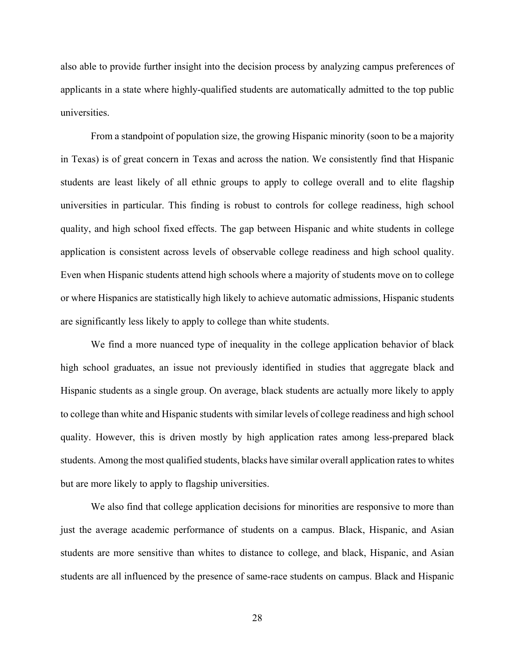also able to provide further insight into the decision process by analyzing campus preferences of applicants in a state where highly-qualified students are automatically admitted to the top public universities.

From a standpoint of population size, the growing Hispanic minority (soon to be a majority in Texas) is of great concern in Texas and across the nation. We consistently find that Hispanic students are least likely of all ethnic groups to apply to college overall and to elite flagship universities in particular. This finding is robust to controls for college readiness, high school quality, and high school fixed effects. The gap between Hispanic and white students in college application is consistent across levels of observable college readiness and high school quality. Even when Hispanic students attend high schools where a majority of students move on to college or where Hispanics are statistically high likely to achieve automatic admissions, Hispanic students are significantly less likely to apply to college than white students.

We find a more nuanced type of inequality in the college application behavior of black high school graduates, an issue not previously identified in studies that aggregate black and Hispanic students as a single group. On average, black students are actually more likely to apply to college than white and Hispanic students with similar levels of college readiness and high school quality. However, this is driven mostly by high application rates among less-prepared black students. Among the most qualified students, blacks have similar overall application rates to whites but are more likely to apply to flagship universities.

We also find that college application decisions for minorities are responsive to more than just the average academic performance of students on a campus. Black, Hispanic, and Asian students are more sensitive than whites to distance to college, and black, Hispanic, and Asian students are all influenced by the presence of same-race students on campus. Black and Hispanic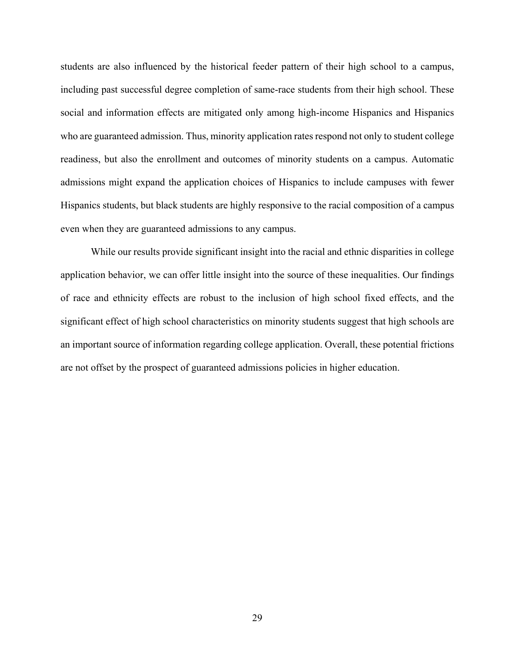students are also influenced by the historical feeder pattern of their high school to a campus, including past successful degree completion of same-race students from their high school. These social and information effects are mitigated only among high-income Hispanics and Hispanics who are guaranteed admission. Thus, minority application rates respond not only to student college readiness, but also the enrollment and outcomes of minority students on a campus. Automatic admissions might expand the application choices of Hispanics to include campuses with fewer Hispanics students, but black students are highly responsive to the racial composition of a campus even when they are guaranteed admissions to any campus.

While our results provide significant insight into the racial and ethnic disparities in college application behavior, we can offer little insight into the source of these inequalities. Our findings of race and ethnicity effects are robust to the inclusion of high school fixed effects, and the significant effect of high school characteristics on minority students suggest that high schools are an important source of information regarding college application. Overall, these potential frictions are not offset by the prospect of guaranteed admissions policies in higher education.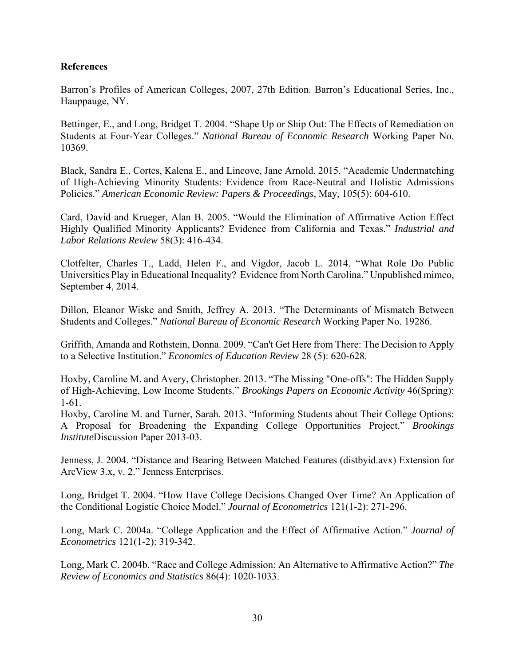#### **References**

Barron's Profiles of American Colleges, 2007, 27th Edition. Barron's Educational Series, Inc., Hauppauge, NY.

Bettinger, E., and Long, Bridget T. 2004. "Shape Up or Ship Out: The Effects of Remediation on Students at Four-Year Colleges." *National Bureau of Economic Research* Working Paper No. 10369.

Black, Sandra E., Cortes, Kalena E., and Lincove, Jane Arnold. 2015. "Academic Undermatching of High-Achieving Minority Students: Evidence from Race-Neutral and Holistic Admissions Policies." *American Economic Review: Papers & Proceedings*, May, 105(5): 604-610.

Card, David and Krueger, Alan B. 2005. "Would the Elimination of Affirmative Action Effect Highly Qualified Minority Applicants? Evidence from California and Texas." *Industrial and Labor Relations Review* 58(3): 416-434.

Clotfelter, Charles T., Ladd, Helen F., and Vigdor, Jacob L. 2014. "What Role Do Public Universities Play in Educational Inequality? Evidence from North Carolina." Unpublished mimeo, September 4, 2014.

Dillon, Eleanor Wiske and Smith, Jeffrey A. 2013. "The Determinants of Mismatch Between Students and Colleges." *National Bureau of Economic Research* Working Paper No. 19286.

Griffith, Amanda and Rothstein, Donna. 2009. "Can't Get Here from There: The Decision to Apply to a Selective Institution." *Economics of Education Review* 28 (5): 620-628.

Hoxby, Caroline M. and Avery, Christopher. 2013. "The Missing "One-offs": The Hidden Supply of High-Achieving, Low Income Students." *Brookings Papers on Economic Activity* 46(Spring): 1-61.

Hoxby, Caroline M. and Turner, Sarah. 2013. "Informing Students about Their College Options: A Proposal for Broadening the Expanding College Opportunities Project." *Brookings Institute*Discussion Paper 2013-03.

Jenness, J. 2004. "Distance and Bearing Between Matched Features (distbyid.avx) Extension for ArcView 3.x, v. 2." Jenness Enterprises.

Long, Bridget T. 2004. "How Have College Decisions Changed Over Time? An Application of the Conditional Logistic Choice Model." *Journal of Econometrics* 121(1-2): 271‐296.

Long, Mark C. 2004a. "College Application and the Effect of Affirmative Action." *Journal of Econometrics* 121(1-2): 319-342.

Long, Mark C. 2004b. "Race and College Admission: An Alternative to Affirmative Action?" *The Review of Economics and Statistics* 86(4): 1020-1033.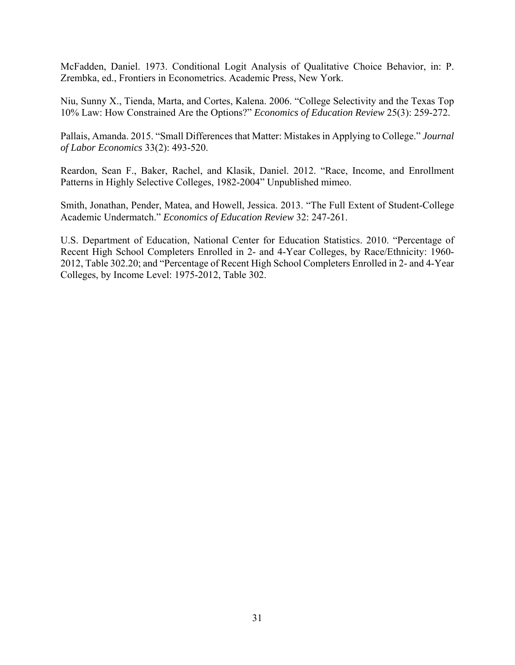McFadden, Daniel. 1973. Conditional Logit Analysis of Qualitative Choice Behavior, in: P. Zrembka, ed., Frontiers in Econometrics. Academic Press, New York.

Niu, Sunny X., Tienda, Marta, and Cortes, Kalena. 2006. "College Selectivity and the Texas Top 10% Law: How Constrained Are the Options?" *Economics of Education Review* 25(3): 259-272.

Pallais, Amanda. 2015. "Small Differences that Matter: Mistakes in Applying to College." *Journal of Labor Economics* 33(2): 493-520.

Reardon, Sean F., Baker, Rachel, and Klasik, Daniel. 2012. "Race, Income, and Enrollment Patterns in Highly Selective Colleges, 1982-2004" Unpublished mimeo.

Smith, Jonathan, Pender, Matea, and Howell, Jessica. 2013. "The Full Extent of Student-College Academic Undermatch." *Economics of Education Review* 32: 247-261.

U.S. Department of Education, National Center for Education Statistics. 2010. "Percentage of Recent High School Completers Enrolled in 2- and 4-Year Colleges, by Race/Ethnicity: 1960- 2012, Table 302.20; and "Percentage of Recent High School Completers Enrolled in 2- and 4-Year Colleges, by Income Level: 1975-2012, Table 302.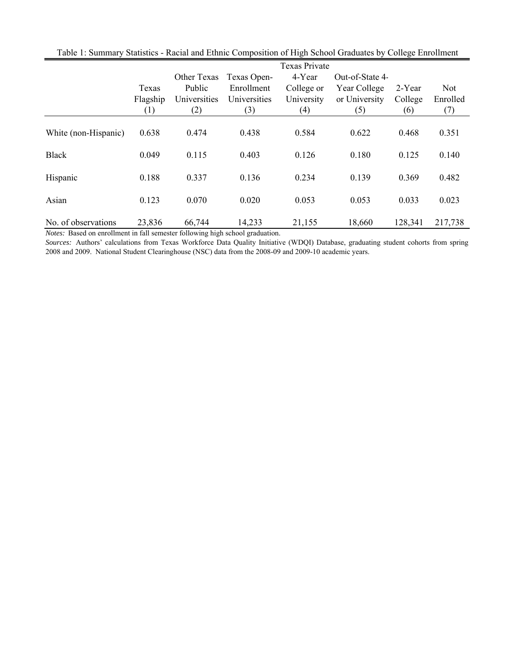|                      |          |              |              | Texas Private |                 |         |          |
|----------------------|----------|--------------|--------------|---------------|-----------------|---------|----------|
|                      |          | Other Texas  | Texas Open-  | 4-Year        | Out-of-State 4- |         |          |
|                      | Texas    | Public       | Enrollment   | College or    | Year College    | 2-Year  | Not      |
|                      | Flagship | Universities | Universities | University    | or University   | College | Enrolled |
|                      | (1)      | (2)          | (3)          | (4)           | (5)             | (6)     | (7)      |
| White (non-Hispanic) | 0.638    | 0.474        | 0.438        | 0.584         | 0.622           | 0.468   | 0.351    |
| <b>Black</b>         | 0.049    | 0.115        | 0.403        | 0.126         | 0.180           | 0.125   | 0.140    |
| Hispanic             | 0.188    | 0.337        | 0.136        | 0.234         | 0.139           | 0.369   | 0.482    |
| Asian                | 0.123    | 0.070        | 0.020        | 0.053         | 0.053           | 0.033   | 0.023    |
| No. of observations  | 23,836   | 66,744       | 14,233       | 21,155        | 18,660          | 128,341 | 217,738  |

Table 1: Summary Statistics - Racial and Ethnic Composition of High School Graduates by College Enrollment

*Notes:* Based on enrollment in fall semester following high school graduation.

*Sources:* Authors' calculations from Texas Workforce Data Quality Initiative (WDQI) Database, graduating student cohorts from spring 2008 and 2009. National Student Clearinghouse (NSC) data from the 2008-09 and 2009-10 academic years.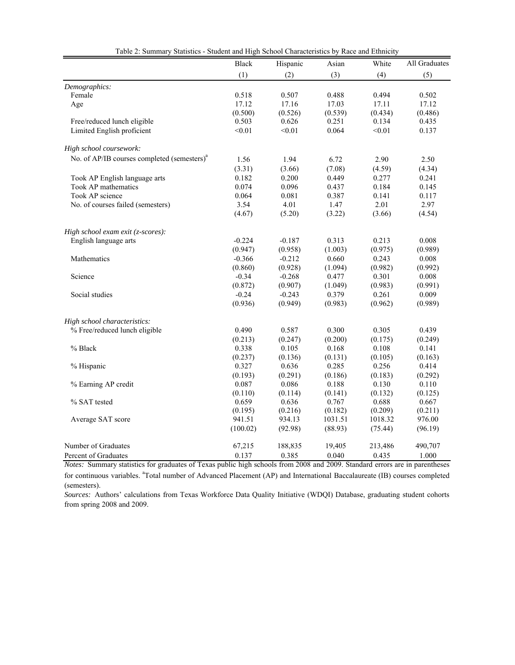|                                                         | <b>Black</b> | Hispanic | Asian   | White   | All Graduates |
|---------------------------------------------------------|--------------|----------|---------|---------|---------------|
|                                                         | (1)          | (2)      | (3)     | (4)     | (5)           |
| Demographics:                                           |              |          |         |         |               |
| Female                                                  | 0.518        | 0.507    | 0.488   | 0.494   | 0.502         |
| Age                                                     | 17.12        | 17.16    | 17.03   | 17.11   | 17.12         |
|                                                         | (0.500)      | (0.526)  | (0.539) | (0.434) | (0.486)       |
| Free/reduced lunch eligible                             | 0.503        | 0.626    | 0.251   | 0.134   | 0.435         |
| Limited English proficient                              | < 0.01       | < 0.01   | 0.064   | < 0.01  | 0.137         |
| High school coursework:                                 |              |          |         |         |               |
| No. of AP/IB courses completed (semesters) <sup>a</sup> | 1.56         | 1.94     | 6.72    | 2.90    | 2.50          |
|                                                         | (3.31)       | (3.66)   | (7.08)  | (4.59)  | (4.34)        |
| Took AP English language arts                           | 0.182        | 0.200    | 0.449   | 0.277   | 0.241         |
| Took AP mathematics                                     | 0.074        | 0.096    | 0.437   | 0.184   | 0.145         |
| Took AP science                                         | 0.064        | 0.081    | 0.387   | 0.141   | 0.117         |
| No. of courses failed (semesters)                       | 3.54         | 4.01     | 1.47    | 2.01    | 2.97          |
|                                                         | (4.67)       | (5.20)   | (3.22)  | (3.66)  | (4.54)        |
|                                                         |              |          |         |         |               |
| High school exam exit (z-scores):                       |              |          |         |         |               |
| English language arts                                   | $-0.224$     | $-0.187$ | 0.313   | 0.213   | 0.008         |
|                                                         | (0.947)      | (0.958)  | (1.003) | (0.975) | (0.989)       |
| Mathematics                                             | $-0.366$     | $-0.212$ | 0.660   | 0.243   | 0.008         |
|                                                         | (0.860)      | (0.928)  | (1.094) | (0.982) | (0.992)       |
| Science                                                 | $-0.34$      | $-0.268$ | 0.477   | 0.301   | 0.008         |
|                                                         | (0.872)      | (0.907)  | (1.049) | (0.983) | (0.991)       |
| Social studies                                          | $-0.24$      | $-0.243$ | 0.379   | 0.261   | 0.009         |
|                                                         | (0.936)      | (0.949)  | (0.983) | (0.962) | (0.989)       |
| High school characteristics:                            |              |          |         |         |               |
| % Free/reduced lunch eligible                           | 0.490        | 0.587    | 0.300   | 0.305   | 0.439         |
|                                                         | (0.213)      | (0.247)  | (0.200) | (0.175) | (0.249)       |
| % Black                                                 | 0.338        | 0.105    | 0.168   | 0.108   | 0.141         |
|                                                         | (0.237)      | (0.136)  | (0.131) | (0.105) | (0.163)       |
| % Hispanic                                              | 0.327        | 0.636    | 0.285   | 0.256   | 0.414         |
|                                                         | (0.193)      | (0.291)  | (0.186) | (0.183) | (0.292)       |
| % Earning AP credit                                     | 0.087        | 0.086    | 0.188   | 0.130   | 0.110         |
|                                                         | (0.110)      | (0.114)  | (0.141) | (0.132) | (0.125)       |
| % SAT tested                                            | 0.659        | 0.636    | 0.767   | 0.688   | 0.667         |
|                                                         | (0.195)      | (0.216)  | (0.182) | (0.209) | (0.211)       |
| Average SAT score                                       | 941.51       | 934.13   | 1031.51 | 1018.32 | 976.00        |
|                                                         | (100.02)     | (92.98)  | (88.93) | (75.44) | (96.19)       |
| Number of Graduates                                     | 67,215       | 188,835  | 19,405  | 213,486 | 490,707       |
| Percent of Graduates                                    | 0.137        | 0.385    | 0.040   | 0.435   | 1.000         |

| Table 2: Summary Statistics - Student and High School Characteristics by Race and Ethnicity |  |  |  |
|---------------------------------------------------------------------------------------------|--|--|--|
|                                                                                             |  |  |  |

*Notes:* Summary statistics for graduates of Texas public high schools from 2008 and 2009. Standard errors are in parentheses for continuous variables. <sup>a</sup>Total number of Advanced Placement (AP) and International Baccalaureate (IB) courses completed (semesters).

*Sources:* Authors' calculations from Texas Workforce Data Quality Initiative (WDQI) Database, graduating student cohorts from spring 2008 and 2009.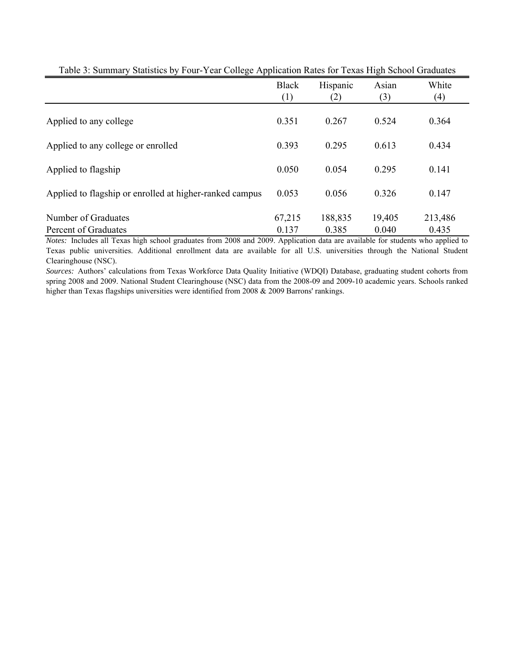|                                                         | <b>Black</b><br>(1) | Hispanic<br>(2)  | Asian<br>(3)    | White<br>(4)     |
|---------------------------------------------------------|---------------------|------------------|-----------------|------------------|
| Applied to any college                                  | 0.351               | 0.267            | 0.524           | 0.364            |
| Applied to any college or enrolled                      | 0.393               | 0.295            | 0.613           | 0.434            |
| Applied to flagship                                     | 0.050               | 0.054            | 0.295           | 0.141            |
| Applied to flagship or enrolled at higher-ranked campus | 0.053               | 0.056            | 0.326           | 0.147            |
| Number of Graduates<br>Percent of Graduates             | 67,215<br>0.137     | 188,835<br>0.385 | 19,405<br>0.040 | 213,486<br>0.435 |

Table 3: Summary Statistics by Four-Year College Application Rates for Texas High School Graduates

*Notes:* Includes all Texas high school graduates from 2008 and 2009. Application data are available for students who applied to Texas public universities. Additional enrollment data are available for all U.S. universities through the National Student Clearinghouse (NSC).

*Sources:* Authors' calculations from Texas Workforce Data Quality Initiative (WDQI) Database, graduating student cohorts from spring 2008 and 2009. National Student Clearinghouse (NSC) data from the 2008-09 and 2009-10 academic years. Schools ranked higher than Texas flagships universities were identified from 2008 & 2009 Barrons' rankings.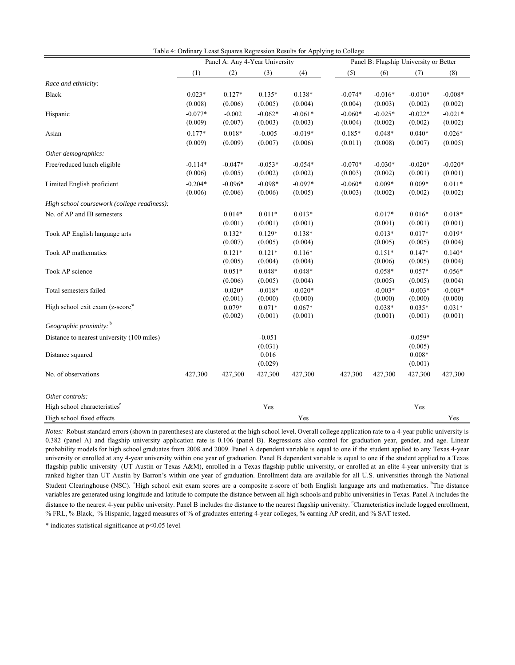|                                              |           | Panel A: Any 4-Year University |                  |           |           | Panel B: Flagship University or Better |                     |           |
|----------------------------------------------|-----------|--------------------------------|------------------|-----------|-----------|----------------------------------------|---------------------|-----------|
|                                              | (1)       | (2)                            | (3)              | (4)       | (5)       | (6)                                    | (7)                 | (8)       |
| Race and ethnicity:                          |           |                                |                  |           |           |                                        |                     |           |
| <b>Black</b>                                 | $0.023*$  | $0.127*$                       | $0.135*$         | $0.138*$  | $-0.074*$ | $-0.016*$                              | $-0.010*$           | $-0.008*$ |
|                                              | (0.008)   | (0.006)                        | (0.005)          | (0.004)   | (0.004)   | (0.003)                                | (0.002)             | (0.002)   |
| Hispanic                                     | $-0.077*$ | $-0.002$                       | $-0.062*$        | $-0.061*$ | $-0.060*$ | $-0.025*$                              | $-0.022*$           | $-0.021*$ |
|                                              | (0.009)   | (0.007)                        | (0.003)          | (0.003)   | (0.004)   | (0.002)                                | (0.002)             | (0.002)   |
| Asian                                        | $0.177*$  | $0.018*$                       | $-0.005$         | $-0.019*$ | $0.185*$  | $0.048*$                               | $0.040*$            | $0.026*$  |
|                                              | (0.009)   | (0.009)                        | (0.007)          | (0.006)   | (0.011)   | (0.008)                                | (0.007)             | (0.005)   |
| Other demographics:                          |           |                                |                  |           |           |                                        |                     |           |
| Free/reduced lunch eligible                  | $-0.114*$ | $-0.047*$                      | $-0.053*$        | $-0.054*$ | $-0.070*$ | $-0.030*$                              | $-0.020*$           | $-0.020*$ |
|                                              | (0.006)   | (0.005)                        | (0.002)          | (0.002)   | (0.003)   | (0.002)                                | (0.001)             | (0.001)   |
| Limited English proficient                   | $-0.204*$ | $-0.096*$                      | $-0.098*$        | $-0.097*$ | $-0.060*$ | $0.009*$                               | $0.009*$            | $0.011*$  |
|                                              | (0.006)   | (0.006)                        | (0.006)          | (0.005)   | (0.003)   | (0.002)                                | (0.002)             | (0.002)   |
| High school coursework (college readiness):  |           |                                |                  |           |           |                                        |                     |           |
| No. of AP and IB semesters                   |           | $0.014*$                       | $0.011*$         | $0.013*$  |           | $0.017*$                               | $0.016*$            | $0.018*$  |
|                                              |           | (0.001)                        | (0.001)          | (0.001)   |           | (0.001)                                | (0.001)             | (0.001)   |
| Took AP English language arts                |           | $0.132*$                       | $0.129*$         | $0.138*$  |           | $0.013*$                               | $0.017*$            | $0.019*$  |
|                                              |           | (0.007)                        | (0.005)          | (0.004)   |           | (0.005)                                | (0.005)             | (0.004)   |
| Took AP mathematics                          |           | $0.121*$                       | $0.121*$         | $0.116*$  |           | $0.151*$                               | $0.147*$            | $0.140*$  |
|                                              |           | (0.005)                        | (0.004)          | (0.004)   |           | (0.006)                                | (0.005)             | (0.004)   |
| Took AP science                              |           | $0.051*$                       | $0.048*$         | $0.048*$  |           | $0.058*$                               | $0.057*$            | $0.056*$  |
|                                              |           | (0.006)                        | (0.005)          | (0.004)   |           | (0.005)                                | (0.005)             | (0.004)   |
| Total semesters failed                       |           | $-0.020*$                      | $-0.018*$        | $-0.020*$ |           | $-0.003*$                              | $-0.003*$           | $-0.003*$ |
|                                              |           | (0.001)                        | (0.000)          | (0.000)   |           | (0.000)                                | (0.000)             | (0.000)   |
| High school exit exam (z-score) <sup>a</sup> |           | $0.079*$                       | $0.071*$         | $0.067*$  |           | $0.038*$                               | $0.035*$            | $0.031*$  |
| Geographic proximity: b                      |           | (0.002)                        | (0.001)          | (0.001)   |           | (0.001)                                | (0.001)             | (0.001)   |
|                                              |           |                                |                  |           |           |                                        |                     |           |
| Distance to nearest university (100 miles)   |           |                                | $-0.051$         |           |           |                                        | $-0.059*$           |           |
|                                              |           |                                | (0.031)<br>0.016 |           |           |                                        | (0.005)<br>$0.008*$ |           |
| Distance squared                             |           |                                | (0.029)          |           |           |                                        | (0.001)             |           |
| No. of observations                          | 427,300   | 427,300                        | 427,300          | 427,300   | 427,300   | 427,300                                | 427,300             | 427,300   |
| Other controls:                              |           |                                |                  |           |           |                                        |                     |           |
| High school characteristics <sup>c</sup>     |           |                                | Yes              |           |           |                                        | Yes                 |           |
| High school fixed effects                    |           |                                |                  | Yes       |           |                                        |                     | Yes       |

Table 4: Ordinary Least Squares Regression Results for Applying to College

*Notes:* Robust standard errors (shown in parentheses) are clustered at the high school level. Overall college application rate to a 4-year public university is 0.382 (panel A) and flagship university application rate is 0.106 (panel B). Regressions also control for graduation year, gender, and age. Linear probability models for high school graduates from 2008 and 2009. Panel A dependent variable is equal to one if the student applied to any Texas 4-year university or enrolled at any 4-year university within one year of graduation. Panel B dependent variable is equal to one if the student applied to a Texas flagship public university (UT Austin or Texas A&M), enrolled in a Texas flagship public university, or enrolled at an elite 4-year university that is ranked higher than UT Austin by Barron's within one year of graduation. Enrollment data are available for all U.S. universities through the National Student Clearinghouse (NSC). <sup>a</sup>High school exit exam scores are a composite z-score of both English language arts and mathematics. <sup>b</sup>The distance variables are generated using longitude and latitude to compute the distance between all high schools and public universities in Texas. Panel A includes the distance to the nearest 4-year public university. Panel B includes the distance to the nearest flagship university. Characteristics include logged enrollment, % FRL, % Black, % Hispanic, lagged measures of % of graduates entering 4-year colleges, % earning AP credit, and % SAT tested.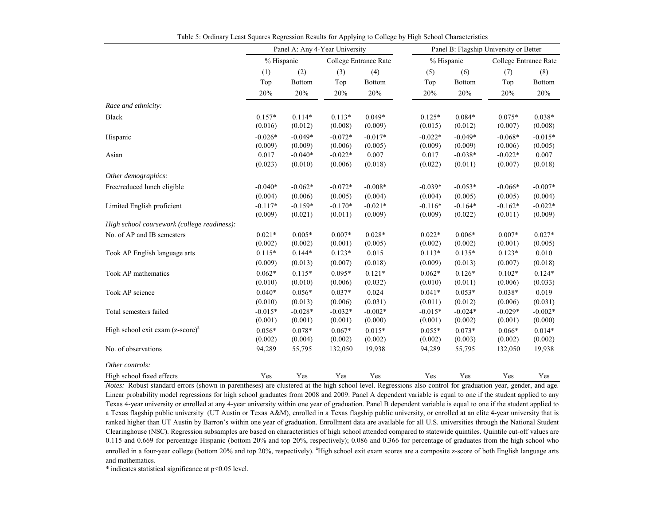|                                              |                      |                      | Panel A: Any 4-Year University |                       | Panel B: Flagship University or Better |                      |                       |                      |  |
|----------------------------------------------|----------------------|----------------------|--------------------------------|-----------------------|----------------------------------------|----------------------|-----------------------|----------------------|--|
|                                              | % Hispanic           |                      |                                | College Entrance Rate | % Hispanic                             |                      | College Entrance Rate |                      |  |
|                                              | (1)                  | (2)                  | (3)                            | (4)                   | (5)                                    | (6)                  | (7)                   | (8)                  |  |
|                                              | Top                  | <b>Bottom</b>        | Top                            | <b>Bottom</b>         | Top                                    | <b>Bottom</b>        | Top                   | Bottom               |  |
|                                              | 20%                  | 20%                  | 20%                            | 20%                   | 20%                                    | 20%                  | 20%                   | 20%                  |  |
| Race and ethnicity:                          |                      |                      |                                |                       |                                        |                      |                       |                      |  |
| Black                                        | $0.157*$<br>(0.016)  | $0.114*$<br>(0.012)  | $0.113*$<br>(0.008)            | $0.049*$<br>(0.009)   | $0.125*$<br>(0.015)                    | $0.084*$<br>(0.012)  | $0.075*$<br>(0.007)   | $0.038*$<br>(0.008)  |  |
| Hispanic                                     | $-0.026*$<br>(0.009) | $-0.049*$<br>(0.009) | $-0.072*$<br>(0.006)           | $-0.017*$<br>(0.005)  | $-0.022*$<br>(0.009)                   | $-0.049*$<br>(0.009) | $-0.068*$<br>(0.006)  | $-0.015*$<br>(0.005) |  |
| Asian                                        | 0.017<br>(0.023)     | $-0.040*$<br>(0.010) | $-0.022*$<br>(0.006)           | 0.007<br>(0.018)      | 0.017<br>(0.022)                       | $-0.038*$<br>(0.011) | $-0.022*$<br>(0.007)  | 0.007<br>(0.018)     |  |
| Other demographics:                          |                      |                      |                                |                       |                                        |                      |                       |                      |  |
| Free/reduced lunch eligible                  | $-0.040*$<br>(0.004) | $-0.062*$<br>(0.006) | $-0.072*$<br>(0.005)           | $-0.008*$<br>(0.004)  | $-0.039*$<br>(0.004)                   | $-0.053*$<br>(0.005) | $-0.066*$<br>(0.005)  | $-0.007*$<br>(0.004) |  |
| Limited English proficient                   | $-0.117*$<br>(0.009) | $-0.159*$<br>(0.021) | $-0.170*$<br>(0.011)           | $-0.021*$<br>(0.009)  | $-0.116*$<br>(0.009)                   | $-0.164*$<br>(0.022) | $-0.162*$<br>(0.011)  | $-0.022*$<br>(0.009) |  |
| High school coursework (college readiness):  |                      |                      |                                |                       |                                        |                      |                       |                      |  |
| No. of AP and IB semesters                   | $0.021*$<br>(0.002)  | $0.005*$<br>(0.002)  | $0.007*$<br>(0.001)            | $0.028*$<br>(0.005)   | $0.022*$<br>(0.002)                    | $0.006*$<br>(0.002)  | $0.007*$<br>(0.001)   | $0.027*$<br>(0.005)  |  |
| Took AP English language arts                | $0.115*$<br>(0.009)  | $0.144*$<br>(0.013)  | $0.123*$<br>(0.007)            | 0.015<br>(0.018)      | $0.113*$<br>(0.009)                    | $0.135*$<br>(0.013)  | $0.123*$<br>(0.007)   | 0.010<br>(0.018)     |  |
| Took AP mathematics                          | $0.062*$<br>(0.010)  | $0.115*$<br>(0.010)  | $0.095*$<br>(0.006)            | $0.121*$<br>(0.032)   | $0.062*$<br>(0.010)                    | $0.126*$<br>(0.011)  | $0.102*$<br>(0.006)   | $0.124*$<br>(0.033)  |  |
| Took AP science                              | $0.040*$<br>(0.010)  | $0.056*$<br>(0.013)  | $0.037*$<br>(0.006)            | 0.024<br>(0.031)      | $0.041*$<br>(0.011)                    | $0.053*$<br>(0.012)  | $0.038*$<br>(0.006)   | 0.019<br>(0.031)     |  |
| Total semesters failed                       | $-0.015*$<br>(0.001) | $-0.028*$<br>(0.001) | $-0.032*$<br>(0.001)           | $-0.002*$<br>(0.000)  | $-0.015*$<br>(0.001)                   | $-0.024*$<br>(0.002) | $-0.029*$<br>(0.001)  | $-0.002*$<br>(0.000) |  |
| High school exit exam (z-score) <sup>a</sup> | $0.056*$<br>(0.002)  | $0.078*$<br>(0.004)  | $0.067*$<br>(0.002)            | $0.015*$<br>(0.002)   | $0.055*$<br>(0.002)                    | $0.073*$<br>(0.003)  | $0.066*$<br>(0.002)   | $0.014*$<br>(0.002)  |  |
| No. of observations                          | 94,289               | 55,795               | 132,050                        | 19,938                | 94,289                                 | 55,795               | 132,050               | 19,938               |  |
| Other controls:                              |                      |                      |                                |                       |                                        |                      |                       |                      |  |
| High school fixed effects                    | Yes                  | Yes                  | Yes                            | Yes                   | Yes                                    | Yes                  | Yes                   | Yes                  |  |

Table 5: Ordinary Least Squares Regression Results for Applying to College by High School Characteristics

*Notes:* Robust standard errors (shown in parentheses) are clustered at the high school level. Regressions also control for graduation year, gender, and age. Linear probability model regressions for high school graduates from 2008 and 2009. Panel A dependent variable is equal to one if the student applied to any Texas 4-year university or enrolled at any 4-year university within one year of graduation. Panel B dependent variable is equal to one if the student applied to <sup>a</sup> Texas flagship public university (UT Austin or Texas A&M), enrolled in <sup>a</sup> Texas flagship public university, or enrolled at an elite 4-year university that is ranked higher than UT Austin by Barron's within one year of graduation. Enrollment data are available for all U.S. universities through the National Student Clearinghouse (NSC). Regression subsamples are based on characteristics of high school attended compared to statewide quintiles. Quintile cut-off values are 0.115 and 0.669 for percentage Hispanic (bottom 20% and top 20%, respectively); 0.086 and 0.366 for percentage of graduates from the high school who enrolled in a four-year college (bottom 20% and top 20%, respectively). <sup>a</sup>High school exit exam scores are a composite z-score of both English language arts and mathematics.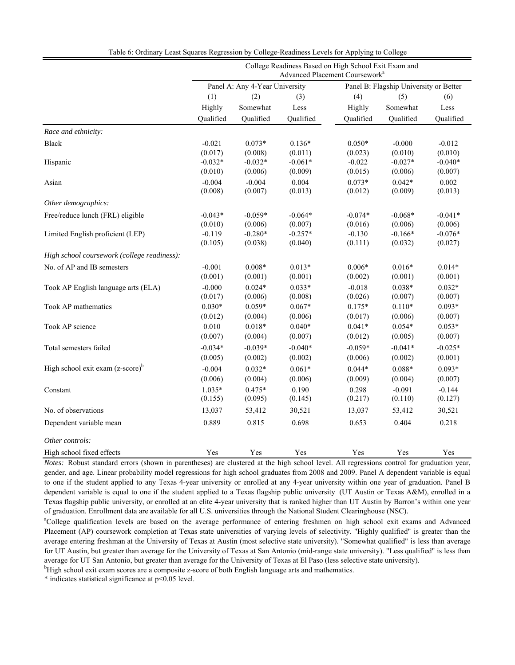|                                             | College Readiness Based on High School Exit Exam and<br>Advanced Placement Coursework <sup>a</sup> |                                |           |           |                                        |           |  |  |  |  |  |
|---------------------------------------------|----------------------------------------------------------------------------------------------------|--------------------------------|-----------|-----------|----------------------------------------|-----------|--|--|--|--|--|
|                                             |                                                                                                    | Panel A: Any 4-Year University |           |           | Panel B: Flagship University or Better |           |  |  |  |  |  |
|                                             | (1)                                                                                                | (2)                            | (3)       | (4)       | (5)                                    | (6)       |  |  |  |  |  |
|                                             | Highly                                                                                             | Somewhat                       | Less      | Highly    | Somewhat                               | Less      |  |  |  |  |  |
|                                             | Qualified                                                                                          | Qualified                      | Qualified | Qualified | Qualified                              | Qualified |  |  |  |  |  |
| Race and ethnicity:                         |                                                                                                    |                                |           |           |                                        |           |  |  |  |  |  |
| <b>Black</b>                                | $-0.021$                                                                                           | $0.073*$                       | $0.136*$  | $0.050*$  | $-0.000$                               | $-0.012$  |  |  |  |  |  |
|                                             | (0.017)                                                                                            | (0.008)                        | (0.011)   | (0.023)   | (0.010)                                | (0.010)   |  |  |  |  |  |
| Hispanic                                    | $-0.032*$                                                                                          | $-0.032*$                      | $-0.061*$ | $-0.022$  | $-0.027*$                              | $-0.040*$ |  |  |  |  |  |
|                                             | (0.010)                                                                                            | (0.006)                        | (0.009)   | (0.015)   | (0.006)                                | (0.007)   |  |  |  |  |  |
| Asian                                       | $-0.004$                                                                                           | $-0.004$                       | 0.004     | $0.073*$  | $0.042*$                               | 0.002     |  |  |  |  |  |
|                                             | (0.008)                                                                                            | (0.007)                        | (0.013)   | (0.012)   | (0.009)                                | (0.013)   |  |  |  |  |  |
| Other demographics:                         |                                                                                                    |                                |           |           |                                        |           |  |  |  |  |  |
| Free/reduce lunch (FRL) eligible            | $-0.043*$                                                                                          | $-0.059*$                      | $-0.064*$ | $-0.074*$ | $-0.068*$                              | $-0.041*$ |  |  |  |  |  |
|                                             | (0.010)                                                                                            | (0.006)                        | (0.007)   | (0.016)   | (0.006)                                | (0.006)   |  |  |  |  |  |
| Limited English proficient (LEP)            | $-0.119$                                                                                           | $-0.280*$                      | $-0.257*$ | $-0.130$  | $-0.166*$                              | $-0.076*$ |  |  |  |  |  |
|                                             | (0.105)                                                                                            | (0.038)                        | (0.040)   | (0.111)   | (0.032)                                | (0.027)   |  |  |  |  |  |
| High school coursework (college readiness): |                                                                                                    |                                |           |           |                                        |           |  |  |  |  |  |
| No. of AP and IB semesters                  | $-0.001$                                                                                           | $0.008*$                       | $0.013*$  | $0.006*$  | $0.016*$                               | $0.014*$  |  |  |  |  |  |
|                                             | (0.001)                                                                                            | (0.001)                        | (0.001)   | (0.002)   | (0.001)                                | (0.001)   |  |  |  |  |  |
| Took AP English language arts (ELA)         | $-0.000$                                                                                           | $0.024*$                       | $0.033*$  | $-0.018$  | $0.038*$                               | $0.032*$  |  |  |  |  |  |
|                                             | (0.017)                                                                                            | (0.006)                        | (0.008)   | (0.026)   | (0.007)                                | (0.007)   |  |  |  |  |  |
| Took AP mathematics                         | $0.030*$                                                                                           | $0.059*$                       | $0.067*$  | $0.175*$  | $0.110*$                               | $0.093*$  |  |  |  |  |  |
|                                             | (0.012)                                                                                            | (0.004)                        | (0.006)   | (0.017)   | (0.006)                                | (0.007)   |  |  |  |  |  |
| Took AP science                             | 0.010                                                                                              | $0.018*$                       | $0.040*$  | $0.041*$  | $0.054*$                               | $0.053*$  |  |  |  |  |  |
|                                             | (0.007)                                                                                            | (0.004)                        | (0.007)   | (0.012)   | (0.005)                                | (0.007)   |  |  |  |  |  |
| Total semesters failed                      | $-0.034*$                                                                                          | $-0.039*$                      | $-0.040*$ | $-0.059*$ | $-0.041*$                              | $-0.025*$ |  |  |  |  |  |
|                                             | (0.005)                                                                                            | (0.002)                        | (0.002)   | (0.006)   | (0.002)                                | (0.001)   |  |  |  |  |  |
| High school exit exam $(z\text{-score})^b$  | $-0.004$                                                                                           | $0.032*$                       | $0.061*$  | $0.044*$  | $0.088*$                               | $0.093*$  |  |  |  |  |  |
|                                             | (0.006)                                                                                            | (0.004)                        | (0.006)   | (0.009)   | (0.004)                                | (0.007)   |  |  |  |  |  |
| Constant                                    | $1.035*$                                                                                           | $0.475*$                       | 0.190     | 0.298     | $-0.091$                               | $-0.144$  |  |  |  |  |  |
|                                             | (0.155)                                                                                            | (0.095)                        | (0.145)   | (0.217)   | (0.110)                                | (0.127)   |  |  |  |  |  |
| No. of observations                         | 13,037                                                                                             | 53,412                         | 30,521    | 13,037    | 53,412                                 | 30,521    |  |  |  |  |  |
| Dependent variable mean                     | 0.889                                                                                              | 0.815                          | 0.698     | 0.653     | 0.404                                  | 0.218     |  |  |  |  |  |
|                                             |                                                                                                    |                                |           |           |                                        |           |  |  |  |  |  |
| Other controls:                             |                                                                                                    |                                |           |           |                                        |           |  |  |  |  |  |
| High school fixed effects                   | Yes                                                                                                | Yes                            | Yes       | Yes       | Yes                                    | Yes       |  |  |  |  |  |

Table 6: Ordinary Least Squares Regression by College-Readiness Levels for Applying to College

*Notes:* Robust standard errors (shown in parentheses) are clustered at the high school level. All regressions control for graduation year, gender, and age. Linear probability model regressions for high school graduates from 2008 and 2009. Panel A dependent variable is equal to one if the student applied to any Texas 4-year university or enrolled at any 4-year university within one year of graduation. Panel B dependent variable is equal to one if the student applied to a Texas flagship public university (UT Austin or Texas A&M), enrolled in a Texas flagship public university, or enrolled at an elite 4-year university that is ranked higher than UT Austin by Barron's within one year of graduation. Enrollment data are available for all U.S. universities through the National Student Clearinghouse (NSC). a

<sup>a</sup>College qualification levels are based on the average performance of entering freshmen on high school exit exams and Advanced Placement (AP) coursework completion at Texas state universities of varying levels of selectivity. "Highly qualified" is greater than the average entering freshman at the University of Texas at Austin (most selective state university). "Somewhat qualified" is less than average for UT Austin, but greater than average for the University of Texas at San Antonio (mid-range state university). "Less qualified" is less than average for UT San Antonio, but greater than average for the University of Texas at El Paso (less selective state university).

<sup>b</sup>High school exit exam scores are a composite z-score of both English language arts and mathematics.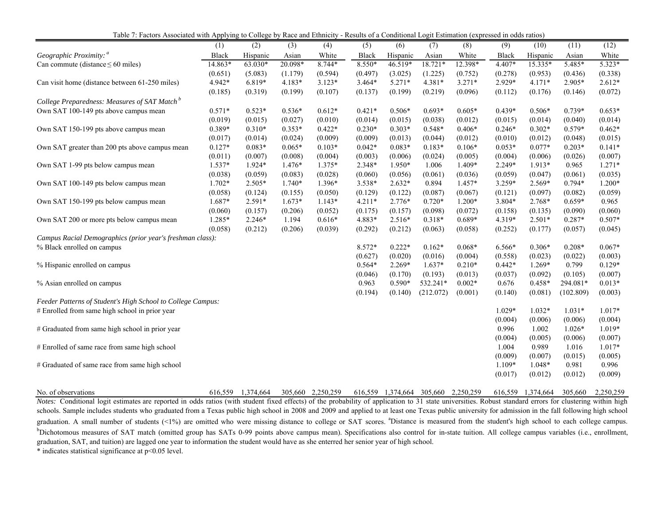Table 7: Factors Associated with Applying to College by Race and Ethnicity - Results of a Conditional Logit Estimation (expressed in odds ratios)

|                                                             | (1)      | (2)      | (3)      | (4)      | (5)          | (6)      | (7)       | (8)      | (9)      | (10)     | (11)      | (12)     |
|-------------------------------------------------------------|----------|----------|----------|----------|--------------|----------|-----------|----------|----------|----------|-----------|----------|
| Geographic Proximity: <sup>a</sup>                          | Black    | Hispanic | Asian    | White    | <b>Black</b> | Hispanic | Asian     | White    | Black    | Hispanic | Asian     | White    |
| Can commute (distance $\leq 60$ miles)                      | 14.863*  | 63.030*  | 20.098*  | 8.744*   | 8.550*       | 46.519*  | 18.721*   | 12.398*  | 4.407*   | 15.335*  | 5.485*    | $5.323*$ |
|                                                             | (0.651)  | (5.083)  | (1.179)  | (0.594)  | (0.497)      | (3.025)  | (1.225)   | (0.752)  | (0.278)  | (0.953)  | (0.436)   | (0.338)  |
| Can visit home (distance between 61-250 miles)              | 4.942*   | 6.819*   | $4.183*$ | $3.123*$ | $3.464*$     | $5.271*$ | $4.381*$  | $3.271*$ | 2.929*   | $4.171*$ | 2.905*    | $2.612*$ |
|                                                             | (0.185)  | (0.319)  | (0.199)  | (0.107)  | (0.137)      | (0.199)  | (0.219)   | (0.096)  | (0.112)  | (0.176)  | (0.146)   | (0.072)  |
| College Preparedness: Measures of SAT Match <sup>b</sup>    |          |          |          |          |              |          |           |          |          |          |           |          |
| Own SAT 100-149 pts above campus mean                       | $0.571*$ | $0.523*$ | $0.536*$ | $0.612*$ | $0.421*$     | $0.506*$ | $0.693*$  | $0.605*$ | $0.439*$ | $0.506*$ | $0.739*$  | $0.653*$ |
|                                                             | (0.019)  | (0.015)  | (0.027)  | (0.010)  | (0.014)      | (0.015)  | (0.038)   | (0.012)  | (0.015)  | (0.014)  | (0.040)   | (0.014)  |
| Own SAT 150-199 pts above campus mean                       | 0.389*   | $0.310*$ | $0.353*$ | $0.422*$ | $0.230*$     | $0.303*$ | $0.548*$  | $0.406*$ | $0.246*$ | $0.302*$ | $0.579*$  | $0.462*$ |
|                                                             | (0.017)  | (0.014)  | (0.024)  | (0.009)  | (0.009)      | (0.013)  | (0.044)   | (0.012)  | (0.010)  | (0.012)  | (0.048)   | (0.015)  |
| Own SAT greater than 200 pts above campus mean              | $0.127*$ | $0.083*$ | $0.065*$ | $0.103*$ | $0.042*$     | $0.083*$ | $0.183*$  | $0.106*$ | $0.053*$ | $0.077*$ | $0.203*$  | $0.141*$ |
|                                                             | (0.011)  | (0.007)  | (0.008)  | (0.004)  | (0.003)      | (0.006)  | (0.024)   | (0.005)  | (0.004)  | (0.006)  | (0.026)   | (0.007)  |
| Own SAT 1-99 pts below campus mean                          | $1.537*$ | $1.924*$ | $1.476*$ | 1.375*   | 2.348*       | 1.950*   | 1.006     | 1.409*   | 2.249*   | $1.913*$ | 0.965     | $1.271*$ |
|                                                             | (0.038)  | (0.059)  | (0.083)  | (0.028)  | (0.060)      | (0.056)  | (0.061)   | (0.036)  | (0.059)  | (0.047)  | (0.061)   | (0.035)  |
| Own SAT 100-149 pts below campus mean                       | $1.702*$ | $2.505*$ | $1.740*$ | 1.396*   | 3.538*       | $2.632*$ | 0.894     | $1.457*$ | 3.259*   | 2.569*   | $0.794*$  | $1.200*$ |
|                                                             | (0.058)  | (0.124)  | (0.155)  | (0.050)  | (0.129)      | (0.122)  | (0.087)   | (0.067)  | (0.121)  | (0.097)  | (0.082)   | (0.059)  |
| Own SAT 150-199 pts below campus mean                       | 1.687*   | $2.591*$ | $1.673*$ | $1.143*$ | $4.211*$     | $2.776*$ | $0.720*$  | $1.200*$ | 3.804*   | $2.768*$ | $0.659*$  | 0.965    |
|                                                             | (0.060)  | (0.157)  | (0.206)  | (0.052)  | (0.175)      | (0.157)  | (0.098)   | (0.072)  | (0.158)  | (0.135)  | (0.090)   | (0.060)  |
| Own SAT 200 or more pts below campus mean                   | 1.285*   | $2.246*$ | 1.194    | $0.616*$ | 4.883*       | $2.516*$ | $0.318*$  | $0.689*$ | 4.319*   | $2.501*$ | $0.287*$  | $0.507*$ |
|                                                             | (0.058)  | (0.212)  | (0.206)  | (0.039)  | (0.292)      | (0.212)  | (0.063)   | (0.058)  | (0.252)  | (0.177)  | (0.057)   | (0.045)  |
| Campus Racial Demographics (prior year's freshman class):   |          |          |          |          |              |          |           |          |          |          |           |          |
| % Black enrolled on campus                                  |          |          |          |          | 8.572*       | $0.222*$ | $0.162*$  | $0.068*$ | 6.566*   | $0.306*$ | $0.208*$  | $0.067*$ |
|                                                             |          |          |          |          | (0.627)      | (0.020)  | (0.016)   | (0.004)  | (0.558)  | (0.023)  | (0.022)   | (0.003)  |
| % Hispanic enrolled on campus                               |          |          |          |          | $0.564*$     | $2.269*$ | $1.637*$  | $0.210*$ | $0.442*$ | $1.269*$ | 0.799     | $0.129*$ |
|                                                             |          |          |          |          | (0.046)      | (0.170)  | (0.193)   | (0.013)  | (0.037)  | (0.092)  | (0.105)   | (0.007)  |
| % Asian enrolled on campus                                  |          |          |          |          | 0.963        | $0.590*$ | 532.241*  | $0.002*$ | 0.676    | $0.458*$ | 294.081*  | $0.013*$ |
|                                                             |          |          |          |          | (0.194)      | (0.140)  | (212.072) | (0.001)  | (0.140)  | (0.081)  | (102.809) | (0.003)  |
| Feeder Patterns of Student's High School to College Campus: |          |          |          |          |              |          |           |          |          |          |           |          |
| # Enrolled from same high school in prior year              |          |          |          |          |              |          |           |          | $1.029*$ | $1.032*$ | $1.031*$  | $1.017*$ |
|                                                             |          |          |          |          |              |          |           |          | (0.004)  | (0.006)  | (0.006)   | (0.004)  |
| # Graduated from same high school in prior year             |          |          |          |          |              |          |           |          | 0.996    | 1.002    | $1.026*$  | 1.019*   |
|                                                             |          |          |          |          |              |          |           |          | (0.004)  | (0.005)  | (0.006)   | (0.007)  |
| # Enrolled of same race from same high school               |          |          |          |          |              |          |           |          | 1.004    | 0.989    | 1.016     | $1.017*$ |
|                                                             |          |          |          |          |              |          |           |          | (0.009)  | (0.007)  | (0.015)   | (0.005)  |
| # Graduated of same race from same high school              |          |          |          |          |              |          |           |          | $1.109*$ | 1.048*   | 0.981     | 0.996    |
|                                                             |          |          |          |          |              |          |           |          | (0.017)  | (0.012)  | (0.012)   | (0.009)  |
|                                                             |          |          |          |          |              |          |           |          |          |          |           |          |

No. of observations 616,559 1,374,664 305,660 2,250,259 616,559 1,374,664 305,660 2,250,259 616,559 1,374,664 305,660 2,250,259 Notes: Conditional logit estimates are reported in odds ratios (with student fixed effects) of the probability of application to 31 state universities. Robust standard errors for clustering within high schools. Sample includes students who graduated from <sup>a</sup> Texas public high school in 2008 and 2009 and applied to at least one Texas public university for admission in the fall following high school graduation. A small number of students (<1%) are omitted who were missing distance to college or SAT scores. <sup>a</sup>Distance is measured from the student's high school to each college campus. <sup>b</sup>Dichotomous measures of SAT match (omitted group has SATs 0-99 points above campus mean). Specifications also control for in-state tuition. All college campus variables (i.e., enrollment, graduation, SAT, and tuition) are lagged one year to information the student would have as she enterred her senior year of high school.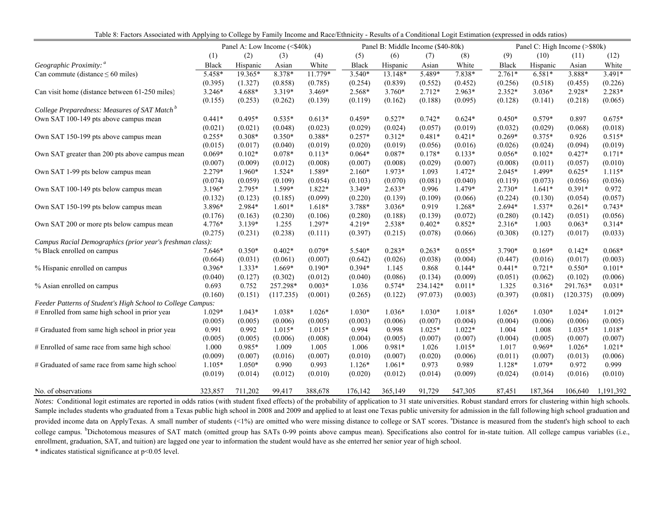|                                                             |              |          | Panel A: Low Income (<\$40k) |          |          |          | Panel B: Middle Income (\$40-80k) |          | Panel C: High Income (>\$80k) |          |           |           |
|-------------------------------------------------------------|--------------|----------|------------------------------|----------|----------|----------|-----------------------------------|----------|-------------------------------|----------|-----------|-----------|
|                                                             | (1)          | (2)      | (3)                          | (4)      | (5)      | (6)      | (7)                               | (8)      | (9)                           | (10)     | (11)      | (12)      |
| Geographic Proximity: <sup>a</sup>                          | <b>Black</b> | Hispanic | Asian                        | White    | Black    | Hispanic | Asian                             | White    | <b>Black</b>                  | Hispanic | Asian     | White     |
| Can commute (distance $\leq 60$ miles)                      | 5.458*       | 19.365*  | 8.378*                       | 11.779*  | 3.540*   | 13.148*  | 5.489*                            | 7.838*   | $2.761*$                      | 6.581*   | 3.888*    | 3.491*    |
|                                                             | (0.395)      | (1.327)  | (0.858)                      | (0.785)  | (0.254)  | (0.839)  | (0.552)                           | (0.452)  | (0.256)                       | (0.518)  | (0.455)   | (0.226)   |
| Can visit home (distance between 61-250 miles)              | $3.246*$     | 4.688*   | 3.319*                       | $3.469*$ | 2.568*   | $3.760*$ | $2.712*$                          | $2.963*$ | $2.352*$                      | $3.036*$ | 2.928*    | $2.283*$  |
|                                                             | (0.155)      | (0.253)  | (0.262)                      | (0.139)  | (0.119)  | (0.162)  | (0.188)                           | (0.095)  | (0.128)                       | (0.141)  | (0.218)   | (0.065)   |
| College Preparedness: Measures of SAT Match <sup>b</sup>    |              |          |                              |          |          |          |                                   |          |                               |          |           |           |
| Own SAT 100-149 pts above campus mean                       | $0.441*$     | $0.495*$ | $0.535*$                     | $0.613*$ | $0.459*$ | $0.527*$ | $0.742*$                          | $0.624*$ | $0.450*$                      | $0.579*$ | 0.897     | $0.675*$  |
|                                                             | (0.021)      | (0.021)  | (0.048)                      | (0.023)  | (0.029)  | (0.024)  | (0.057)                           | (0.019)  | (0.032)                       | (0.029)  | (0.068)   | (0.018)   |
| Own SAT 150-199 pts above campus mean                       | $0.255*$     | $0.308*$ | $0.350*$                     | 0.388*   | $0.257*$ | $0.312*$ | $0.481*$                          | $0.421*$ | $0.269*$                      | $0.375*$ | 0.926     | $0.515*$  |
|                                                             | (0.015)      | (0.017)  | (0.040)                      | (0.019)  | (0.020)  | (0.019)  | (0.056)                           | (0.016)  | (0.026)                       | (0.024)  | (0.094)   | (0.019)   |
| Own SAT greater than 200 pts above campus mean              | $0.069*$     | $0.102*$ | $0.078*$                     | $0.113*$ | $0.064*$ | $0.087*$ | $0.178*$                          | $0.133*$ | $0.056*$                      | $0.102*$ | $0.427*$  | $0.171*$  |
|                                                             | (0.007)      | (0.009)  | (0.012)                      | (0.008)  | (0.007)  | (0.008)  | (0.029)                           | (0.007)  | (0.008)                       | (0.011)  | (0.057)   | (0.010)   |
| Own SAT 1-99 pts below campus mean                          | $2.279*$     | $1.960*$ | $1.524*$                     | 1.589*   | $2.160*$ | 1.973*   | 1.093                             | $1.472*$ | $2.045*$                      | 1.499*   | $0.625*$  | $1.115*$  |
|                                                             | (0.074)      | (0.059)  | (0.109)                      | (0.054)  | (0.103)  | (0.070)  | (0.081)                           | (0.040)  | (0.119)                       | (0.073)  | (0.056)   | (0.036)   |
| Own SAT 100-149 pts below campus mean                       | $3.196*$     | 2.795*   | 1.599*                       | 1.822*   | 3.349*   | $2.633*$ | 0.996                             | 1.479*   | 2.730*                        | $1.641*$ | $0.391*$  | 0.972     |
|                                                             | (0.132)      | (0.123)  | (0.185)                      | (0.099)  | (0.220)  | (0.139)  | (0.109)                           | (0.066)  | (0.224)                       | (0.130)  | (0.054)   | (0.057)   |
| Own SAT 150-199 pts below campus mean                       | 3.896*       | 2.984*   | $1.601*$                     | $1.618*$ | 3.788*   | $3.036*$ | 0.919                             | 1.268*   | 2.694*                        | $1.537*$ | $0.261*$  | $0.743*$  |
|                                                             | (0.176)      | (0.163)  | (0.230)                      | (0.106)  | (0.280)  | (0.188)  | (0.139)                           | (0.072)  | (0.280)                       | (0.142)  | (0.051)   | (0.056)   |
| Own SAT 200 or more pts below campus mean                   | 4.776*       | $3.139*$ | 1.255                        | $1.297*$ | 4.219*   | 2.538*   | $0.402*$                          | $0.852*$ | $2.316*$                      | 1.003    | $0.063*$  | $0.314*$  |
|                                                             | (0.275)      | (0.231)  | (0.238)                      | (0.111)  | (0.397)  | (0.215)  | (0.078)                           | (0.066)  | (0.308)                       | (0.127)  | (0.017)   | (0.033)   |
| Campus Racial Demographics (prior year's freshman class):   |              |          |                              |          |          |          |                                   |          |                               |          |           |           |
| % Black enrolled on campus                                  | 7.646*       | $0.350*$ | $0.402*$                     | $0.079*$ | 5.540*   | $0.283*$ | $0.263*$                          | $0.055*$ | 3.790*                        | $0.169*$ | $0.142*$  | $0.068*$  |
|                                                             | (0.664)      | (0.031)  | (0.061)                      | (0.007)  | (0.642)  | (0.026)  | (0.038)                           | (0.004)  | (0.447)                       | (0.016)  | (0.017)   | (0.003)   |
| % Hispanic enrolled on campus                               | $0.396*$     | $1.333*$ | $1.669*$                     | $0.190*$ | $0.394*$ | 1.145    | 0.868                             | $0.144*$ | $0.441*$                      | $0.721*$ | $0.550*$  | $0.101*$  |
|                                                             | (0.040)      | (0.127)  | (0.302)                      | (0.012)  | (0.040)  | (0.086)  | (0.134)                           | (0.009)  | (0.051)                       | (0.062)  | (0.102)   | (0.006)   |
| % Asian enrolled on campus                                  | 0.693        | 0.752    | 257.298*                     | $0.003*$ | 1.036    | $0.574*$ | 234.142*                          | $0.011*$ | 1.325                         | $0.316*$ | 291.763*  | $0.031*$  |
|                                                             | (0.160)      | (0.151)  | (117.235)                    | (0.001)  | (0.265)  | (0.122)  | (97.073)                          | (0.003)  | (0.397)                       | (0.081)  | (120.375) | (0.009)   |
| Feeder Patterns of Student's High School to College Campus: |              |          |                              |          |          |          |                                   |          |                               |          |           |           |
| # Enrolled from same high school in prior year              | $1.029*$     | $1.043*$ | $1.038*$                     | $1.026*$ | $1.030*$ | $1.036*$ | $1.030*$                          | 1.018*   | $1.026*$                      | $1.030*$ | $1.024*$  | $1.012*$  |
|                                                             | (0.005)      | (0.005)  | (0.006)                      | (0.005)  | (0.003)  | (0.006)  | (0.007)                           | (0.004)  | (0.004)                       | (0.006)  | (0.006)   | (0.005)   |
| # Graduated from same high school in prior year             | 0.991        | 0.992    | $1.015*$                     | $1.015*$ | 0.994    | 0.998    | $1.025*$                          | $1.022*$ | 1.004                         | 1.008    | $1.035*$  | $1.018*$  |
|                                                             | (0.005)      | (0.005)  | (0.006)                      | (0.008)  | (0.004)  | (0.005)  | (0.007)                           | (0.007)  | (0.004)                       | (0.005)  | (0.007)   | (0.007)   |
| # Enrolled of same race from same high school               | 1.000        | 0.985*   | 1.009                        | 1.005    | 1.006    | $0.981*$ | 1.026                             | $1.015*$ | 1.017                         | $0.969*$ | $1.026*$  | $1.021*$  |
|                                                             | (0.009)      | (0.007)  | (0.016)                      | (0.007)  | (0.010)  | (0.007)  | (0.020)                           | (0.006)  | (0.011)                       | (0.007)  | (0.013)   | (0.006)   |
| # Graduated of same race from same high school              | $1.105*$     | $1.050*$ | 0.990                        | 0.993    | $1.126*$ | $1.061*$ | 0.973                             | 0.989    | 1.128*                        | $1.079*$ | 0.972     | 0.999     |
|                                                             | (0.019)      | (0.014)  | (0.012)                      | (0.010)  | (0.020)  | (0.012)  | (0.014)                           | (0.009)  | (0.024)                       | (0.014)  | (0.016)   | (0.010)   |
| No. of observations                                         | 323,857      | 711,202  | 99,417                       | 388,678  | 176,142  | 365,149  | 91,729                            | 547,305  | 87,451                        | 187,364  | 106,640   | 1,191,392 |

*Notes:* Conditional logit estimates are reported in odds ratios (with student fixed effects) of the probability of application to 31 state universities. Robust standard errors for clustering within high schools. Sample includes students who graduated from a Texas public high school in 2008 and 2009 and applied to at least one Texas public university for admission in the fall following high school graduation and provided income data on ApplyTexas. A small number of students (<1%) are omitted who were missing distance to college or SAT scores. <sup>a</sup>Distance is measured from the student's high school to each college campus. <sup>b</sup>Dichotomous measures of SAT match (omitted group has SATs 0-99 points above campus mean). Specifications also control for in-state tuition. All college campus variables (i.e., enrollment, graduation, SAT, and tuition) are lagged one year to information the student would have as she enterred her senior year of high school.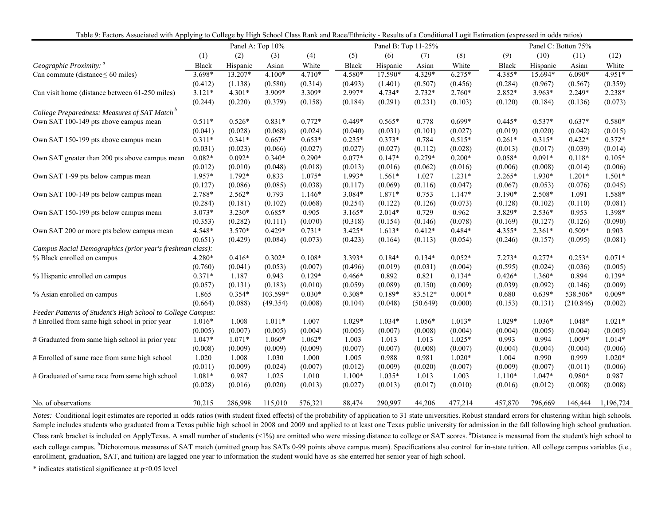| Table 9: Factors Associated with Applying to College by High School Class Rank and Race/Ethnicity - Results of a Conditional Logit Estimation (expressed in odds ratios) |              |          |                  |          |              |                     |          |          |              |          |                     |           |
|--------------------------------------------------------------------------------------------------------------------------------------------------------------------------|--------------|----------|------------------|----------|--------------|---------------------|----------|----------|--------------|----------|---------------------|-----------|
|                                                                                                                                                                          |              |          | Panel A: Top 10% |          |              | Panel B: Top 11-25% |          |          |              |          | Panel C: Botton 75% |           |
|                                                                                                                                                                          | (1)          | (2)      | (3)              | (4)      | (5)          | (6)                 | (7)      | (8)      | (9)          | (10)     | (11)                | (12)      |
| Geographic Proximity: <sup>a</sup>                                                                                                                                       | <b>Black</b> | Hispanic | Asian            | White    | <b>Black</b> | Hispanic            | Asian    | White    | <b>Black</b> | Hispanic | Asian               | White     |
| Can commute (distance $\leq 60$ miles)                                                                                                                                   | $3.698*$     | 13.207*  | $4.100*$         | $4.710*$ | 4.580*       | $17.590*$           | 4.329*   | $6.275*$ | 4.385*       | 15.694*  | $6.090*$            | 4.951*    |
|                                                                                                                                                                          | (0.412)      | (1.138)  | (0.580)          | (0.314)  | (0.493)      | (1.401)             | (0.507)  | (0.456)  | (0.284)      | (0.967)  | (0.567)             | (0.359)   |
| Can visit home (distance between 61-250 miles)                                                                                                                           | $3.121*$     | $4.301*$ | 3.909*           | 3.309*   | 2.997*       | 4.734*              | 2.732*   | $2.760*$ | 2.852*       | 3.963*   | 2.249*              | 2.238*    |
|                                                                                                                                                                          | (0.244)      | (0.220)  | (0.379)          | (0.158)  | (0.184)      | (0.291)             | (0.231)  | (0.103)  | (0.120)      | (0.184)  | (0.136)             | (0.073)   |
| College Preparedness: Measures of SAT Match <sup>b</sup>                                                                                                                 |              |          |                  |          |              |                     |          |          |              |          |                     |           |
| Own SAT 100-149 pts above campus mean                                                                                                                                    | $0.511*$     | $0.526*$ | $0.831*$         | $0.772*$ | $0.449*$     | $0.565*$            | 0.778    | $0.699*$ | $0.445*$     | $0.537*$ | $0.637*$            | $0.580*$  |
|                                                                                                                                                                          | (0.041)      | (0.028)  | (0.068)          | (0.024)  | (0.040)      | (0.031)             | (0.101)  | (0.027)  | (0.019)      | (0.020)  | (0.042)             | (0.015)   |
| Own SAT 150-199 pts above campus mean                                                                                                                                    | $0.311*$     | $0.341*$ | $0.667*$         | $0.653*$ | $0.235*$     | $0.373*$            | 0.784    | $0.515*$ | $0.261*$     | $0.315*$ | $0.422*$            | $0.372*$  |
|                                                                                                                                                                          | (0.031)      | (0.023)  | (0.066)          | (0.027)  | (0.027)      | (0.027)             | (0.112)  | (0.028)  | (0.013)      | (0.017)  | (0.039)             | (0.014)   |
| Own SAT greater than 200 pts above campus mean                                                                                                                           | $0.082*$     | $0.092*$ | $0.340*$         | $0.290*$ | $0.077*$     | $0.147*$            | $0.279*$ | $0.200*$ | $0.058*$     | $0.091*$ | $0.118*$            | $0.105*$  |
|                                                                                                                                                                          | (0.012)      | (0.010)  | (0.048)          | (0.018)  | (0.013)      | (0.016)             | (0.062)  | (0.016)  | (0.006)      | (0.008)  | (0.014)             | (0.006)   |
| Own SAT 1-99 pts below campus mean                                                                                                                                       | 1.957*       | 1.792*   | 0.833            | 1.075*   | 1.993*       | $1.561*$            | 1.027    | $1.231*$ | $2.265*$     | 1.930*   | $1.201*$            | $1.501*$  |
|                                                                                                                                                                          | (0.127)      | (0.086)  | (0.085)          | (0.038)  | (0.117)      | (0.069)             | (0.116)  | (0.047)  | (0.067)      | (0.053)  | (0.076)             | (0.045)   |
| Own SAT 100-149 pts below campus mean                                                                                                                                    | 2.788*       | $2.562*$ | 0.793            | $1.146*$ | 3.084*       | 1.871*              | 0.753    | 1.147*   | 3.190*       | 2.508*   | 1.091               | 1.588*    |
|                                                                                                                                                                          | (0.284)      | (0.181)  | (0.102)          | (0.068)  | (0.254)      | (0.122)             | (0.126)  | (0.073)  | (0.128)      | (0.102)  | (0.110)             | (0.081)   |
| Own SAT 150-199 pts below campus mean                                                                                                                                    | $3.073*$     | 3.230*   | $0.685*$         | 0.905    | $3.165*$     | $2.014*$            | 0.729    | 0.962    | 3.829*       | 2.536*   | 0.953               | 1.398*    |
|                                                                                                                                                                          | (0.353)      | (0.282)  | (0.111)          | (0.070)  | (0.318)      | (0.154)             | (0.146)  | (0.078)  | (0.169)      | (0.127)  | (0.126)             | (0.090)   |
| Own SAT 200 or more pts below campus mean                                                                                                                                | 4.548*       | $3.570*$ | $0.429*$         | $0.731*$ | $3.425*$     | $1.613*$            | $0.412*$ | $0.484*$ | 4.355*       | $2.361*$ | $0.509*$            | 0.903     |
|                                                                                                                                                                          | (0.651)      | (0.429)  | (0.084)          | (0.073)  | (0.423)      | (0.164)             | (0.113)  | (0.054)  | (0.246)      | (0.157)  | (0.095)             | (0.081)   |
| Campus Racial Demographics (prior year's freshman class):                                                                                                                |              |          |                  |          |              |                     |          |          |              |          |                     |           |
| % Black enrolled on campus                                                                                                                                               | 4.280*       | $0.416*$ | $0.302*$         | $0.108*$ | 3.393*       | $0.184*$            | $0.134*$ | $0.052*$ | $7.273*$     | $0.277*$ | $0.253*$            | $0.071*$  |
|                                                                                                                                                                          | (0.760)      | (0.041)  | (0.053)          | (0.007)  | (0.496)      | (0.019)             | (0.031)  | (0.004)  | (0.595)      | (0.024)  | (0.036)             | (0.005)   |
| % Hispanic enrolled on campus                                                                                                                                            | $0.371*$     | 1.187    | 0.943            | $0.129*$ | $0.466*$     | 0.892               | 0.821    | $0.134*$ | $0.426*$     | $1.360*$ | 0.894               | $0.139*$  |
|                                                                                                                                                                          | (0.057)      | (0.131)  | (0.183)          | (0.010)  | (0.059)      | (0.089)             | (0.150)  | (0.009)  | (0.039)      | (0.092)  | (0.146)             | (0.009)   |
| % Asian enrolled on campus                                                                                                                                               | 1.865        | $0.354*$ | 103.599*         | $0.030*$ | $0.308*$     | 0.189*              | 83.512*  | $0.001*$ | 0.680        | $0.639*$ | 538.506*            | $0.009*$  |
|                                                                                                                                                                          | (0.664)      | (0.088)  | (49.354)         | (0.008)  | (0.104)      | (0.048)             | (50.649) | (0.000)  | (0.153)      | (0.131)  | (210.846)           | (0.002)   |
| Feeder Patterns of Student's High School to College Campus:                                                                                                              |              |          |                  |          |              |                     |          |          |              |          |                     |           |
| # Enrolled from same high school in prior year                                                                                                                           | $1.016*$     | 1.008    | $1.011*$         | 1.007    | $1.029*$     | $1.034*$            | $1.056*$ | $1.013*$ | 1.029*       | $1.036*$ | $1.048*$            | $1.021*$  |
|                                                                                                                                                                          | (0.005)      | (0.007)  | (0.005)          | (0.004)  | (0.005)      | (0.007)             | (0.008)  | (0.004)  | (0.004)      | (0.005)  | (0.004)             | (0.005)   |
| # Graduated from same high school in prior year                                                                                                                          | $1.047*$     | $1.071*$ | $1.060*$         | $1.062*$ | 1.003        | 1.013               | 1.013    | $1.025*$ | 0.993        | 0.994    | $1.009*$            | $1.014*$  |
|                                                                                                                                                                          | (0.008)      | (0.009)  | (0.009)          | (0.009)  | (0.007)      | (0.007)             | (0.008)  | (0.007)  | (0.004)      | (0.004)  | (0.004)             | (0.006)   |
| # Enrolled of same race from same high school                                                                                                                            | 1.020        | 1.008    | 1.030            | 1.000    | 1.005        | 0.988               | 0.981    | $1.020*$ | 1.004        | 0.990    | 0.999               | $1.020*$  |
|                                                                                                                                                                          | (0.011)      | (0.009)  | (0.024)          | (0.007)  | (0.012)      | (0.009)             | (0.020)  | (0.007)  | (0.009)      | (0.007)  | (0.011)             | (0.006)   |
| # Graduated of same race from same high school                                                                                                                           | $1.081*$     | 0.987    | 1.025            | 1.010    | $1.100*$     | $1.035*$            | 1.013    | 1.003    | $1.110*$     | $1.047*$ | $0.980*$            | 0.987     |
|                                                                                                                                                                          | (0.028)      | (0.016)  | (0.020)          | (0.013)  | (0.027)      | (0.013)             | (0.017)  | (0.010)  | (0.016)      | (0.012)  | (0.008)             | (0.008)   |
| No. of observations                                                                                                                                                      | 70,215       | 286,998  | 115,010          | 576,321  | 88,474       | 290,997             | 44,206   | 477,214  | 457,870      | 796,669  | 146,444             | 1,196,724 |

*Notes:* Conditional logit estimates are reported in odds ratios (with student fixed effects) of the probability of application to 31 state universities. Robust standard errors for clustering within high schools. Sample includes students who graduated from <sup>a</sup> Texas public high school in 2008 and 2009 and applied to at least one Texas public university for admission in the fall following high school graduation. Class rank bracket is included on ApplyTexas. A small number of students (<1%) are omitted who were missing distance to college or SAT scores. <sup>a</sup>Distance is measured from the student's high school to each college campus. <sup>b</sup>Dichotomous measures of SAT match (omitted group has SATs 0-99 points above campus mean). Specifications also control for in-state tuition. All college campus variables (i.e., enrollment, graduation, SAT, and tuition) are lagged one year to information the student would have as she enterred her senior year of high school.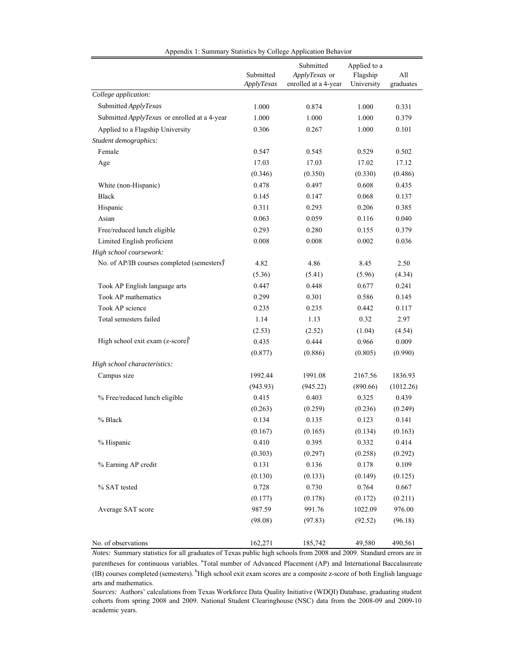|                                                      | Submitted  | Submitted<br>ApplyTexas or | Applied to a<br>Flagship | All       |
|------------------------------------------------------|------------|----------------------------|--------------------------|-----------|
|                                                      | ApplyTexas | enrolled at a 4-year       | University               | graduates |
| College application:                                 |            |                            |                          |           |
| Submitted ApplyTexas                                 | 1.000      | 0.874                      | 1.000                    | 0.331     |
| Submitted ApplyTexas or enrolled at a 4-year         | 1.000      | 1.000                      | 1.000                    | 0.379     |
| Applied to a Flagship University                     | 0.306      | 0.267                      | 1.000                    | 0.101     |
| Student demographics:                                |            |                            |                          |           |
| Female                                               | 0.547      | 0.545                      | 0.529                    | 0.502     |
| Age                                                  | 17.03      | 17.03                      | 17.02                    | 17.12     |
|                                                      | (0.346)    | (0.350)                    | (0.330)                  | (0.486)   |
| White (non-Hispanic)                                 | 0.478      | 0.497                      | 0.608                    | 0.435     |
| <b>Black</b>                                         | 0.145      | 0.147                      | 0.068                    | 0.137     |
| Hispanic                                             | 0.311      | 0.293                      | 0.206                    | 0.385     |
| Asian                                                | 0.063      | 0.059                      | 0.116                    | 0.040     |
| Free/reduced lunch eligible                          | 0.293      | 0.280                      | 0.155                    | 0.379     |
| Limited English proficient                           | 0.008      | 0.008                      | 0.002                    | 0.036     |
| High school coursework:                              |            |                            |                          |           |
| No. of AP/IB courses completed (semesters) $\hat{J}$ | 4.82       | 4.86                       | 8.45                     | 2.50      |
|                                                      | (5.36)     | (5.41)                     | (5.96)                   | (4.34)    |
| Took AP English language arts                        | 0.447      | 0.448                      | 0.677                    | 0.241     |
| Took AP mathematics                                  | 0.299      | 0.301                      | 0.586                    | 0.145     |
| Took AP science                                      | 0.235      | 0.235                      | 0.442                    | 0.117     |
| Total semesters failed                               | 1.14       | 1.13                       | 0.32                     | 2.97      |
|                                                      | (2.53)     | (2.52)                     | (1.04)                   | (4.54)    |
| High school exit exam $(z\text{-score})^b$           | 0.435      | 0.444                      | 0.966                    | 0.009     |
|                                                      | (0.877)    | (0.886)                    | (0.805)                  | (0.990)   |
| High school characteristics:                         |            |                            |                          |           |
| Campus size                                          | 1992.44    | 1991.08                    | 2167.56                  | 1836.93   |
|                                                      | (943.93)   | (945.22)                   | (890.66)                 | (1012.26) |
| % Free/reduced lunch eligible                        | 0.415      | 0.403                      | 0.325                    | 0.439     |
|                                                      | (0.263)    | (0.259)                    | (0.236)                  | (0.249)   |
| % Black                                              | 0.134      | 0.135                      | 0.123                    | 0.141     |
|                                                      | (0.167)    | (0.165)                    | (0.134)                  | (0.163)   |
| % Hispanic                                           | 0.410      | 0.395                      | 0.332                    | 0.414     |
|                                                      | (0.303)    | (0.297)                    | (0.258)                  | (0.292)   |
| % Earning AP credit                                  | 0.131      | 0.136                      | 0.178                    | 0.109     |
|                                                      | (0.130)    | (0.133)                    | (0.149)                  | (0.125)   |
| % SAT tested                                         | 0.728      | 0.730                      | 0.764                    | 0.667     |
|                                                      | (0.177)    | (0.178)                    | (0.172)                  | (0.211)   |
| Average SAT score                                    | 987.59     | 991.76                     | 1022.09                  | 976.00    |
|                                                      | (98.08)    | (97.83)                    | (92.52)                  | (96.18)   |
| No. of observations                                  | 162,271    | 185,742                    | 49,580                   | 490,561   |

Appendix 1: Summary Statistics by College Application Behavior

*Notes:* Summary statistics for all graduates of Texas public high schools from 2008 and 2009. Standard errors are in parentheses for continuous variables. <sup>a</sup>Total number of Advanced Placement (AP) and International Baccalaureate (IB) courses completed (semesters). <sup>b</sup>High school exit exam scores are a composite z-score of both English language arts and mathematics.

*Sources:* Authors' calculations from Texas Workforce Data Quality Initiative (WDQI) Database, graduating student cohorts from spring 2008 and 2009. National Student Clearinghouse (NSC) data from the 2008-09 and 2009-10 academic years.